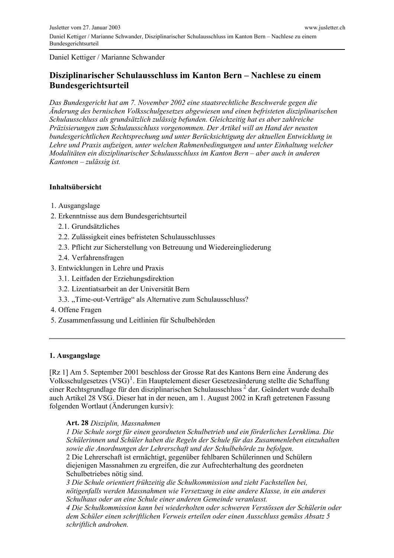Daniel Kettiger / Marianne Schwander

# Disziplinarischer Schulausschluss im Kanton Bern – Nachlese zu einem **Bundesgerichtsurteil**

Das Bundesgericht hat am 7. November 2002 eine staatsrechtliche Beschwerde gegen die Anderung des bernischen Volksschulgesetzes abgewiesen und einen befristeten disziplinarischen Schulausschluss als grundsätzlich zulässig befunden. Gleichzeitig hat es aber zahlreiche Präzisierungen zum Schulausschluss vorgenommen. Der Artikel will an Hand der neusten bundesgerichtlichen Rechtsprechung und unter Berücksichtigung der aktuellen Entwicklung in Lehre und Praxis aufzeigen, unter welchen Rahmenbedingungen und unter Einhaltung welcher Modalitäten ein disziplinarischer Schulausschluss im Kanton Bern - aber auch in anderen Kantonen  $-z$ ulässig ist.

## **Inhaltsübersicht**

- 1. Ausgangslage
- 2. Erkenntnisse aus dem Bundesgerichtsurteil
	- 2.1. Grundsätzliches
	- 2.2. Zulässigkeit eines befristeten Schulausschlusses
	- 2.3. Pflicht zur Sicherstellung von Betreuung und Wiedereingliederung
	- 2.4. Verfahrensfragen
- 3. Entwicklungen in Lehre und Praxis
	- 3.1. Leitfaden der Erziehungsdirektion
	- 3.2. Lizentiatsarbeit an der Universität Bern
	- 3.3. "Time-out-Verträge" als Alternative zum Schulausschluss?
- 4. Offene Fragen
- 5. Zusammenfassung und Leitlinien für Schulbehörden

#### 1. Ausgangslage

[Rz 1] Am 5. September 2001 beschloss der Grosse Rat des Kantons Bern eine Änderung des Volksschulgesetzes (VSG)<sup>1</sup>. Ein Hauptelement dieser Gesetzesänderung stellte die Schaffung einer Rechtsgrundlage für den disziplinarischen Schulausschluss<sup>2</sup> dar. Geändert wurde deshalb auch Artikel 28 VSG. Dieser hat in der neuen, am 1. August 2002 in Kraft getretenen Fassung folgenden Wortlaut (Änderungen kursiv):

#### Art. 28 Disziplin, Massnahmen

I Die Schule sorgt für einen geordneten Schulbetrieb und ein förderliches Lernklima. Die Schülerinnen und Schüler haben die Regeln der Schule für das Zusammenleben einzuhalten sowie die Anordnungen der Lehrerschaft und der Schulbehörde zu befolgen. 2 Die Lehrerschaft ist ermächtigt, gegenüber fehlbaren Schülerinnen und Schülern

diejenigen Massnahmen zu ergreifen, die zur Aufrechterhaltung des geordneten Schulbetriebes nötig sind.

3 Die Schule orientiert frühzeitig die Schulkommission und zieht Fachstellen bei, nötigenfalls werden Massnahmen wie Versetzung in eine andere Klasse, in ein anderes Schulhaus oder an eine Schule einer anderen Gemeinde veranlasst.

4 Die Schulkommission kann bei wiederholten oder schweren Verstössen der Schülerin oder dem Schüler einen schriftlichen Verweis erteilen oder einen Ausschluss gemäss Absatz 5 schriftlich androhen.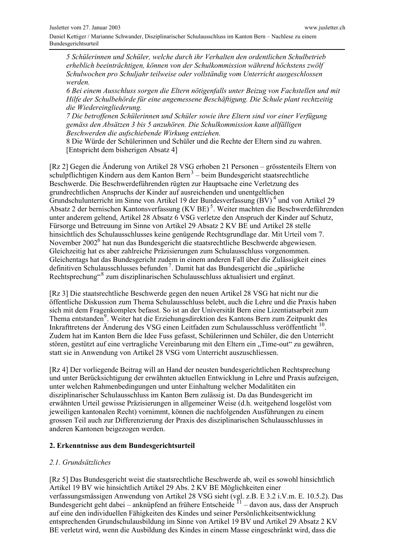5 Schülerinnen und Schüler, welche durch ihr Verhalten den ordentlichen Schulbetrieb erheblich beeinträchtigen, können von der Schulkommission während höchstens zwölf Schulwochen pro Schuljahr teilweise oder vollständig vom Unterricht ausgeschlossen werden.

6 Bei einem Ausschluss sorgen die Eltern nötigenfalls unter Beizug von Fachstellen und mit Hilfe der Schulbehörde für eine angemessene Beschäftigung. Die Schule plant rechtzeitig die Wiedereingliederung.

7 Die betroffenen Schülerinnen und Schüler sowie ihre Eltern sind vor einer Verfügung gemäss den Absätzen 3 bis 5 anzuhören. Die Schulkommission kann allfälligen Beschwerden die aufschiebende Wirkung entziehen.

8 Die Würde der Schülerinnen und Schüler und die Rechte der Eltern sind zu wahren. [Entspricht dem bisherigen Absatz 4]

[Rz 2] Gegen die Änderung von Artikel 28 VSG erhoben 21 Personen – grösstenteils Eltern von schulpflichtigen Kindern aus dem Kanton Bern<sup>3</sup> – beim Bundesgericht staatsrechtliche Beschwerde. Die Beschwerdeführenden rügten zur Hauptsache eine Verletzung des grundrechtlichen Anspruchs der Kinder auf ausreichenden und unentgeltlichen Grundschulunterricht im Sinne von Artikel 19 der Bundesverfassung (BV)<sup>4</sup> und von Artikel 29 Absatz 2 der bernischen Kantonsverfassung (KV BE)<sup>5</sup>. Weiter machten die Beschwerdeführenden unter anderem geltend, Artikel 28 Absatz 6 VSG verletze den Anspruch der Kinder auf Schutz, Fürsorge und Betreuung im Sinne von Artikel 29 Absatz 2 KV BE und Artikel 28 stelle hinsichtlich des Schulausschlusses keine genügende Rechtsgrundlage dar. Mit Urteil vom 7. November 2002<sup>6</sup> hat nun das Bundesgericht die staatsrechtliche Beschwerde abgewiesen. Gleichzeitig hat es aber zahlreiche Präzisierungen zum Schulausschluss vorgenommen. Gleichentags hat das Bundesgericht zudem in einem anderen Fall über die Zulässigkeit eines definitiven Schulausschlusses befunden<sup>7</sup>. Damit hat das Bundesgericht die "spärliche Rechtsprechung"<sup>8</sup> zum disziplinarischen Schulausschluss aktualisiert und ergänzt.

[Rz 3] Die staatsrechtliche Beschwerde gegen den neuen Artikel 28 VSG hat nicht nur die öffentliche Diskussion zum Thema Schulausschluss belebt, auch die Lehre und die Praxis haben sich mit dem Fragenkomplex befasst. So ist an der Universität Bern eine Lizentiatsarbeit zum Thema entstanden<sup>9</sup>. Weiter hat die Erziehungsdirektion des Kantons Bern zum Zeitpunkt des Inkrafttretens der Änderung des VSG einen Leitfaden zum Schulausschluss veröffentlicht <sup>10</sup>. Zudem hat im Kanton Bern die Idee Fuss gefasst, Schülerinnen und Schüler, die den Unterricht stören, gestützt auf eine vertragliche Vereinbarung mit den Eltern ein "Time-out" zu gewähren, statt sie in Anwendung von Artikel 28 VSG vom Unterricht auszuschliessen.

[Rz 4] Der vorliegende Beitrag will an Hand der neusten bundesgerichtlichen Rechtsprechung und unter Berücksichtigung der erwähnten aktuellen Entwicklung in Lehre und Praxis aufzeigen, unter welchen Rahmenbedingungen und unter Einhaltung welcher Modalitäten ein disziplinarischer Schulausschluss im Kanton Bern zulässig ist. Da das Bundesgericht im erwähnten Urteil gewisse Präzisierungen in allgemeiner Weise (d.h. weitgehend losgelöst vom jeweiligen kantonalen Recht) vornimmt, können die nachfolgenden Ausführungen zu einem grossen Teil auch zur Differenzierung der Praxis des disziplinarischen Schulausschlusses in anderen Kantonen beigezogen werden.

#### 2. Erkenntnisse aus dem Bundesgerichtsurteil

#### 2.1. Grundsätzliches

[Rz 5] Das Bundesgericht weist die staatsrechtliche Beschwerde ab, weil es sowohl hinsichtlich Artikel 19 BV wie hinsichtlich Artikel 29 Abs. 2 KV BE Möglichkeiten einer verfassungsmässigen Anwendung von Artikel 28 VSG sieht (vgl. z.B. E 3.2 i.V.m. E. 10.5.2). Das Bundesgericht geht dabei – anknüpfend an frühere Entscheide <sup>11</sup> – davon aus, dass der Anspruch auf eine den individuellen Fähigkeiten des Kindes und seiner Persönlichkeitsentwicklung entsprechenden Grundschulausbildung im Sinne von Artikel 19 BV und Artikel 29 Absatz 2 KV BE verletzt wird, wenn die Ausbildung des Kindes in einem Masse eingeschränkt wird, dass die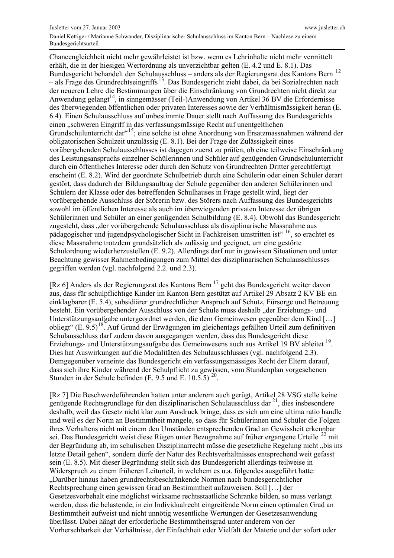Chancengleichheit nicht mehr gewährleistet ist bzw. wenn es Lehrinhalte nicht mehr vermittelt erhält, die in der hiesigen Wertordnung als unverzichtbar gelten (E. 4.2 und E. 8.1). Das Bundesgericht behandelt den Schulausschluss – anders als der Regierungsrat des Kantons Bern <sup>12</sup> - als Frage des Grundrechtseingriffs<sup>13</sup>. Das Bundesgericht zieht dabei, da bei Sozialrechten nach der neueren Lehre die Bestimmungen über die Einschränkung von Grundrechten nicht direkt zur Anwendung gelangt<sup>14</sup>, in sinngemässer (Teil-)Anwendung von Artikel 36 BV die Erfordernisse des überwiegenden öffentlichen oder privaten Interesses sowie der Verhältnismässigkeit heran (E. 6.4). Einen Schulausschluss auf unbestimmte Dauer stellt nach Auffassung des Bundesgerichts einen "schweren Eingriff in das verfassungsmässige Recht auf unentgeltlichen Grundschulunterricht dar"<sup>15</sup>; eine solche ist ohne Anordnung von Ersatzmassnahmen während der obligatorischen Schulzeit unzulässig (E. 8.1). Bei der Frage der Zulässigkeit eines vorübergehenden Schulausschlusses ist dagegen zuerst zu prüfen, ob eine teilweise Einschränkung des Leistungsanspruchs einzelner Schülerinnen und Schüler auf genügenden Grundschulunterricht durch ein öffentliches Interesse oder durch den Schutz von Grundrechten Dritter gerechtfertigt erscheint (E. 8.2). Wird der geordnete Schulbetrieb durch eine Schülerin oder einen Schüler derart gestört, dass dadurch der Bildungsauftrag der Schule gegenüber den anderen Schülerinnen und Schülern der Klasse oder des betreffenden Schulhauses in Frage gestellt wird, liegt der vorübergehende Ausschluss der Störerin bzw. des Störers nach Auffassung des Bundesgerichts sowohl im öffentlichen Interesse als auch im überwiegenden privaten Interesse der übrigen Schülerinnen und Schüler an einer genügenden Schulbildung (E. 8.4). Obwohl das Bundesgericht zugesteht, dass "der vorübergehende Schulausschluss als disziplinarische Massnahme aus pädagogischer und jugendpsychologischer Sicht in Fachkreisen umstritten ist" <sup>16</sup>, so erachtet es diese Massnahme trotzdem grundsätzlich als zulässig und geeignet, um eine gestörte Schulordnung wiederherzustellen (E. 9.2). Allerdings darf nur in gewissen Situationen und unter Beachtung gewisser Rahmenbedingungen zum Mittel des disziplinarischen Schulausschlusses gegriffen werden (vgl. nachfolgend 2.2. und 2.3).

[Rz 6] Anders als der Regierungsrat des Kantons Bern<sup>17</sup> geht das Bundesgericht weiter davon aus, dass für schulpflichtige Kinder im Kanton Bern gestützt auf Artikel 29 Absatz 2 KV BE ein einklagbarer (E. 5.4), subsidiärer grundrechtlicher Anspruch auf Schutz, Fürsorge und Betreuung besteht. Ein vorübergehender Ausschluss von der Schule muss deshalb "der Erziehungs- und Unterstützungsaufgabe untergeordnet werden, die dem Gemeinwesen gegenüber dem Kind [...] obliegt" (E. 9.5)<sup>18</sup>. Auf Grund der Erwägungen im gleichentags gefällten Urteil zum definitiven Schulausschluss darf zudem davon ausgegangen werden, dass das Bundesgericht diese Erziehungs- und Unterstützungsaufgabe des Gemeinwesens auch aus Artikel 19 BV ableitet <sup>19</sup>. Dies hat Auswirkungen auf die Modalitäten des Schulausschlusses (vgl. nachfolgend 2.3). Demgegenüber verneinte das Bundesgericht ein verfassungsmässiges Recht der Eltern darauf, dass sich ihre Kinder während der Schulpflicht zu gewissen, vom Stundenplan vorgesehenen Stunden in der Schule befinden (E. 9.5 und E. 10.5.5)  $^{20}$ .

[Rz 7] Die Beschwerdeführenden hatten unter anderem auch gerügt, Artikel 28 VSG stelle keine genügende Rechtsgrundlage für den disziplinarischen Schulausschluss dar  $^{21}$ , dies insbesondere deshalb, weil das Gesetz nicht klar zum Ausdruck bringe, dass es sich um eine ultima ratio handle und weil es der Norm an Bestimmtheit mangele, so dass für Schülerinnen und Schüler die Folgen ihres Verhaltens nicht mit einem den Umständen entsprechenden Grad an Gewissheit erkennbar sei. Das Bundesgericht weist diese Rügen unter Bezugnahme auf früher ergangene Urteile<sup>22</sup> mit der Begründung ab, im schulischen Disziplinarrecht müsse die gesetzliche Regelung nicht "bis ins letzte Detail gehen", sondern dürfe der Natur des Rechtsverhältnisses entsprechend weit gefasst sein (E. 8.5). Mit dieser Begründung stellt sich das Bundesgericht allerdings teilweise in Widerspruch zu einem früheren Leiturteil, in welchem es u.a. folgendes ausgeführt hatte: "Darüber hinaus haben grundrechtsbeschränkende Normen nach bundesgerichtlicher Rechtsprechung einen gewissen Grad an Bestimmtheit aufzuweisen. Soll [...] der Gesetzesvorbehalt eine möglichst wirksame rechtsstaatliche Schranke bilden, so muss verlangt werden, dass die belastende, in ein Individualrecht eingreifende Norm einen optimalen Grad an Bestimmtheit aufweist und nicht unnötig wesentliche Wertungen der Gesetzesanwendung überlässt. Dabei hängt der erforderliche Bestimmtheitsgrad unter anderem von der Vorhersehbarkeit der Verhältnisse, der Einfachheit oder Vielfalt der Materie und der sofort oder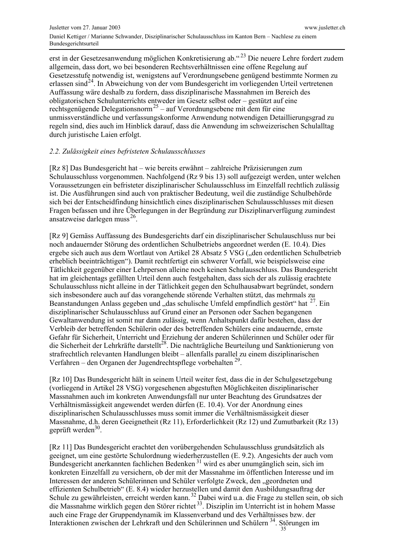erst in der Gesetzesanwendung möglichen Konkretisierung ab."<sup>23</sup> Die neuere Lehre fordert zudem allgemein, dass dort, wo bei besonderen Rechtsverhältnissen eine offene Regelung auf Gesetzesstufe notwendig ist, wenigstens auf Verordnungsebene genügend bestimmte Normen zu erlassen sind<sup>24</sup>. In Abweichung von der vom Bundesgericht im vorliegenden Urteil vertretenen Auffassung wäre deshalb zu fordern, dass disziplinarische Massnahmen im Bereich des obligatorischen Schulunterrichts entweder im Gesetz selbst oder - gestützt auf eine rechtsgenügende Delegationsnorm<sup>25</sup> – auf Verordnungsebene mit dem für eine unmissverständliche und verfassungskonforme Anwendung notwendigen Detaillierungsgrad zu regeln sind, dies auch im Hinblick darauf, dass die Anwendung im schweizerischen Schulalltag durch juristische Laien erfolgt.

## 2.2. Zulässigkeit eines befristeten Schulausschlusses

[Rz 8] Das Bundesgericht hat - wie bereits erwähnt - zahlreiche Präzisierungen zum Schulausschluss vorgenommen. Nachfolgend (Rz 9 bis 13) soll aufgezeigt werden, unter welchen Voraussetzungen ein befristeter disziplinarischer Schulausschluss im Einzelfall rechtlich zulässig ist. Die Ausführungen sind auch von praktischer Bedeutung, weil die zuständige Schulbehörde sich bei der Entscheidfindung hinsichtlich eines disziplinarischen Schulausschlusses mit diesen Fragen befassen und ihre Überlegungen in der Begründung zur Disziplinarverfügung zumindest ansatzweise darlegen muss<sup>26</sup>.

[Rz 9] Gemäss Auffassung des Bundesgerichts darf ein disziplinarischer Schulauschluss nur bei noch andauernder Störung des ordentlichen Schulbetriebs angeordnet werden (E. 10.4). Dies ergebe sich auch aus dem Wortlaut von Artikel 28 Absatz 5 VSG ("den ordentlichen Schulbetrieb erheblich beeinträchtigen"). Damit rechtfertigt ein schwerer Vorfall, wie beispielsweise eine Tätlichkeit gegenüber einer Lehrperson alleine noch keinen Schulausschluss. Das Bundesgericht hat im gleichentags gefällten Urteil denn auch festgehalten, dass sich der als zulässig erachtete Schulausschluss nicht alleine in der Tätlichkeit gegen den Schulhausabwart begründet, sondern sich insbesondere auch auf das vorangehende störende Verhalten stützt, das mehrmals zu Beanstandungen Anlass gegeben und "das schulische Umfeld empfindlich gestört" hat <sup>27</sup>. Ein disziplinarischer Schulausschluss auf Grund einer an Personen oder Sachen begangenen Gewaltanwendung ist somit nur dann zulässig, wenn Anhaltspunkt dafür bestehen, dass der Verbleib der betreffenden Schülerin oder des betreffenden Schülers eine andauernde, ernste Gefahr für Sicherheit, Unterricht und Erziehung der anderen Schülerinnen und Schüler oder für die Sicherheit der Lehrkräfte darstellt<sup>28</sup>. Die nachträgliche Beurteilung und Sanktionierung von strafrechtlich relevanten Handlungen bleibt – allenfalls parallel zu einem disziplinarischen Verfahren – den Organen der Jugendrechtspflege vorbehalten  $^{29}$ .

[Rz 10] Das Bundesgericht hält in seinem Urteil weiter fest, dass die in der Schulgesetzgebung (vorliegend in Artikel 28 VSG) vorgesehenen abgestuften Möglichkeiten disziplinarischer Massnahmen auch im konkreten Anwendungsfall nur unter Beachtung des Grundsatzes der Verhältnismässigkeit angewendet werden dürfen (E. 10.4). Vor der Anordnung eines disziplinarischen Schulausschlusses muss somit immer die Verhältnismässigkeit dieser Massnahme, d.h. deren Geeignetheit (Rz 11), Erforderlichkeit (Rz 12) und Zumutbarkeit (Rz 13) geprüft werden $30$ .

[Rz 11] Das Bundesgericht erachtet den vorübergehenden Schulausschluss grundsätzlich als geeignet, um eine gestörte Schulordnung wiederherzustellen (E. 9.2). Angesichts der auch vom Bundesgericht anerkannten fachlichen Bedenken<sup>31</sup> wird es aber unumgänglich sein, sich im konkreten Einzelfall zu versichern, ob der mit der Massnahme im öffentlichen Interesse und im Interessen der anderen Schülerinnen und Schüler verfolgte Zweck, den "geordneten und effizienten Schulbetrieb" (E. 8.4) wieder herzustellen und damit den Ausbildungsauftrag der Schule zu gewährleisten, erreicht werden kann.<sup>32</sup> Dabei wird u.a. die Frage zu stellen sein, ob sich die Massnahme wirklich gegen den Störer richtet<sup>33</sup>. Disziplin im Unterricht ist in hohem Masse auch eine Frage der Gruppendynamik im Klassenverband und des Verhältnisses bzw. der Interaktionen zwischen der Lehrkraft und den Schülerinnen und Schülern<sup>34</sup>. Störungen im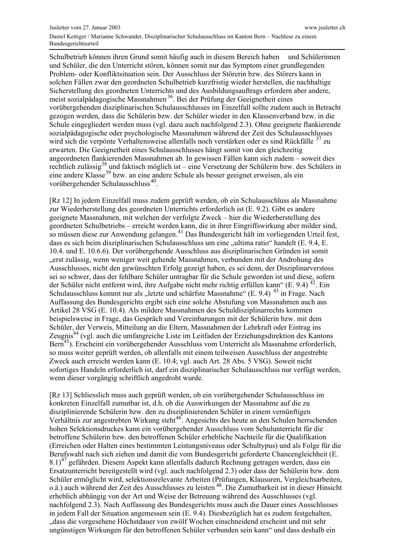Schulbetrieb können ihren Grund somit häufig auch in diesem Bereich haben und Schülerinnen und Schüler, die den Unterricht stören, können somit nur das Symptom einer grundlegenden Problem- oder Konfliktsituation sein. Der Ausschluss der Störerin bzw. des Störers kann in solchen Fällen zwar den geordneten Schulbetrieb kurzfristig wieder herstellen, die nachhaltige Sicherstellung des geordneten Unterrichts und des Ausbildungsauftrags erfordern aber andere. meist sozialpädagogische Massnahmen<sup>36</sup>. Bei der Prüfung der Geeignetheit eines vorübergehenden disziplinarischen Schulausschlusses im Einzelfall sollte zudem auch in Betracht gezogen werden, dass die Schülerin bzw. der Schüler wieder in den Klassenverband bzw. in die Schule eingegliedert werden muss (vgl. dazu auch nachfolgend 2.3). Ohne geeignete flankierende sozialpädagogische oder psychologische Massnahmen während der Zeit des Schulausschlusses wird sich die verpönte Verhaltensweise allenfalls noch verstärken oder es sind Rückfälle <sup>37</sup> zu erwarten. Die Geeignetheit eines Schulausschlusses hängt somit von den gleichzeitig angeordneten flankierenden Massnahmen ab. In gewissen Fällen kann sich zudem – soweit dies rechtlich zulässig<sup>38</sup> und faktisch möglich ist – eine Versetzung der Schülerin bzw. des Schülers in eine andere Klasse<sup>39</sup> bzw. an eine andere Schule als besser geeignet erweisen, als ein vorübergehender Schulausschluss<sup>40</sup>.

[Rz 12] In jedem Einzelfall muss zudem geprüft werden, ob ein Schulausschluss als Massnahme zur Wiederherstellung des geordneten Unterrichts erforderlich ist (E. 9.2). Gibt es andere geeignete Massnahmen, mit welchen der verfolgte Zweck - hier die Wiederherstellung des geordneten Schulbetriebs – erreicht werden kann, die in ihrer Eingriffswirkung aber milder sind, so müssen diese zur Anwendung gelangen.<sup>41</sup> Das Bundesgericht hält im vorliegenden Urteil fest, dass es sich beim disziplinarischen Schulausschluss um eine "ultima ratio" handelt (E. 9.4, E. 10.4. und E. 10.6.6). Der vorübergehende Ausschluss aus disziplinarischen Gründen ist somit "erst zulässig, wenn weniger weit gehende Massnahmen, verbunden mit der Androhung des Ausschlusses, nicht den gewünschten Erfolg gezeigt haben, es sei denn, der Disziplinarverstoss sei so schwer, dass der fehlbare Schüler untragbar für die Schule geworden ist und diese, sofern der Schüler nicht entfernt wird, ihre Aufgabe nicht mehr richtig erfüllen kann" (E. 9.4)  $^{42}$ . Ein Schulausschluss kommt nur als "letzte und schärfste Massnahme" (E. 9.4)<sup>43</sup> in Frage. Nach Auffassung des Bundesgerichts ergibt sich eine solche Abstufung von Massnahmen auch aus Artikel 28 VSG (E. 10.4). Als mildere Massnahmen des Schuldisziplinarrechts kommen beispielsweise in Frage, das Gespräch und Vereinbarungen mit der Schülerin bzw. mit dem Schüler, der Verweis, Mitteilung an die Eltern, Massnahmen der Lehrkraft oder Eintrag ins Zeugnis<sup>44</sup> (vgl. auch die umfangreiche Liste im Leitfaden der Erziehungsdirektion des Kantons Bern<sup>45</sup>). Erscheint ein vorübergehender Ausschluss vom Unterricht als Massnahme erforderlich, so muss weiter geprüft werden, ob allenfalls mit einem teilweisen Ausschluss der angestrebte Zweck auch erreicht werden kann (E. 10.4; vgl. auch Art. 28 Abs. 5 VSG). Soweit nicht sofortiges Handeln erforderlich ist, darf ein disziplinarischer Schulausschluss nur verfügt werden, wenn dieser vorgängig schriftlich angedroht wurde.

[Rz 13] Schliesslich muss auch geprüft werden, ob ein vorübergehender Schulausschluss im konkreten Einzelfall zumutbar ist, d.h. ob die Auswirkungen der Massnahme auf die zu disziplinierende Schülerin bzw. den zu disziplinierenden Schüler in einem vernünftigen Verhältnis zur angestrebten Wirkung steht<sup>46</sup>. Angesichts des heute an den Schulen herrschenden hohen Selektionsdruckes kann ein vorübergehender Ausschluss vom Schulunterricht für die betroffene Schülerin bzw. den betroffenen Schüler erhebliche Nachteile für die Qualifikation (Erreichen oder Halten eines bestimmten Leistungsniveaus oder Schultypus) und als Folge für die Berufswahl nach sich ziehen und damit die vom Bundesgericht geforderte Chancengleichheit (E.  $8.1$ <sup>47</sup> gefährden. Diesem Aspekt kann allenfalls dadurch Rechnung getragen werden, dass ein Ersatzunterricht bereitgestellt wird (vgl. auch nachfolgend 2.3) oder dass der Schülerin bzw. dem Schüler ermöglicht wird, selektionsrelevante Arbeiten (Prüfungen, Klausuren, Vergleichsarbeiten, o.ä.) auch während der Zeit des Ausschlusses zu leisten <sup>48</sup>. Die Zumutbarkeit ist in dieser Hinsicht erheblich abhängig von der Art und Weise der Betreuung während des Ausschlusses (vgl. nachfolgend 2.3). Nach Auffassung des Bundesgerichts muss auch die Dauer eines Ausschlusses in jedem Fall der Situation angemessen sein (E. 9.4). Diesbezüglich hat es zudem festgehalten, "dass die vorgesehene Höchstdauer von zwölf Wochen einschneidend erscheint und mit sehr ungünstigen Wirkungen für den betroffenen Schüler verbunden sein kann" und dass deshalb ein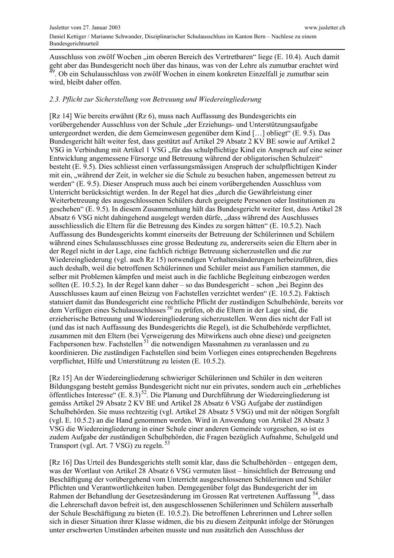Ausschluss von zwölf Wochen "im oberen Bereich des Vertretbaren" liege (E. 10.4). Auch damit geht aber das Bundesgericht noch über das hinaus, was von der Lehre als zumutbar erachtet wird . Ob ein Schulausschluss von zwölf Wochen in einem konkreten Einzelfall je zumutbar sein wird, bleibt daher offen.

#### 2.3. Pflicht zur Sicherstellung von Betreuung und Wiedereingliederung

[Rz 14] Wie bereits erwähnt (Rz 6), muss nach Auffassung des Bundesgerichts ein vorübergehender Ausschluss von der Schule "der Erziehungs- und Unterstützungsaufgabe untergeordnet werden, die dem Gemeinwesen gegenüber dem Kind [...] obliegt" (E. 9.5). Das Bundesgericht hält weiter fest, dass gestützt auf Artikel 29 Absatz 2 KV BE sowie auf Artikel 2 VSG in Verbindung mit Artikel 1 VSG "für das schulpflichtige Kind ein Anspruch auf eine seiner Entwicklung angemessene Fürsorge und Betreuung während der obligatorischen Schulzeit" besteht (E. 9.5). Dies schliesst einen verfassungsmässigen Anspruch der schulpflichtigen Kinder mit ein, "während der Zeit, in welcher sie die Schule zu besuchen haben, angemessen betreut zu werden" (E. 9.5). Dieser Anspruch muss auch bei einem vorübergehenden Ausschluss vom Unterricht berücksichtigt werden. In der Regel hat dies "durch die Gewährleistung einer Weiterbetreuung des ausgeschlossenen Schülers durch geeignete Personen oder Institutionen zu geschehen" (E. 9.5). In diesem Zusammenhang hält das Bundesgericht weiter fest, dass Artikel 28 Absatz 6 VSG nicht dahingehend ausgelegt werden dürfe, "dass während des Auschlusses ausschliesslich die Eltern für die Betreuung des Kindes zu sorgen hätten" (E. 10.5.2). Nach Auffassung des Bundesgerichts kommt einerseits der Betreuung der Schülerinnen und Schülern während eines Schulausschlusses eine grosse Bedeutung zu, andererseits seien die Eltern aber in der Regel nicht in der Lage, eine fachlich richtige Betreuung sicherzustellen und die zur Wiedereingliederung (vgl. auch Rz 15) notwendigen Verhaltensänderungen herbeizuführen, dies auch deshalb, weil die betroffenen Schülerinnen und Schüler meist aus Familien stammen, die selber mit Problemen kämpfen und meist auch in die fachliche Begleitung einbezogen werden sollten (E. 10.5.2). In der Regel kann daher – so das Bundesgericht – schon "bei Beginn des Ausschlusses kaum auf einen Beizug von Fachstellen verzichtet werden" (E. 10.5.2). Faktisch statuiert damit das Bundesgericht eine rechtliche Pflicht der zuständigen Schulbehörde, bereits vor dem Verfügen eines Schulausschlusses <sup>50</sup> zu prüfen, ob die Eltern in der Lage sind, die erzieherische Betreuung und Wiedereingliederung sicherzustellen. Wenn dies nicht der Fall ist (und das ist nach Auffassung des Bundesgerichts die Regel), ist die Schulbehörde verpflichtet, zusammen mit den Eltern (bei Verweigerung des Mitwirkens auch ohne diese) und geeigneten Fachpersonen bzw. Fachstellen<sup>51</sup> die notwendigen Massnahmen zu veranlassen und zu koordinieren. Die zuständigen Fachstellen sind beim Vorliegen eines entsprechenden Begehrens verpflichtet, Hilfe und Unterstützung zu leisten (E. 10.5.2).

[Rz 15] An der Wiedereingliederung schwieriger Schülerinnen und Schüler in den weiteren Bildungsgang besteht gemäss Bundesgericht nicht nur ein privates, sondern auch ein "erhebliches öffentliches Interesse" (E. 8.3)<sup>52</sup>. Die Planung und Durchführung der Wiedereingliederung ist gemäss Artikel 29 Absatz 2 KV BE und Artikel 28 Absatz 6 VSG Aufgabe der zuständigen Schulbehörden. Sie muss rechtzeitig (vgl. Artikel 28 Absatz 5 VSG) und mit der nötigen Sorgfalt (vgl. E. 10.5.2) an die Hand genommen werden. Wird in Anwendung von Artikel 28 Absatz 3 VSG die Wiedereingliederung in einer Schule einer anderen Gemeinde vorgesehen, so ist es zudem Aufgabe der zuständigen Schulbehörden, die Fragen bezüglich Aufnahme, Schulgeld und Transport (vgl. Art. 7 VSG) zu regeln.<sup>53</sup>

[Rz 16] Das Urteil des Bundesgerichts stellt somit klar, dass die Schulbehörden – entgegen dem, was der Wortlaut von Artikel 28 Absatz 6 VSG vermuten lässt – hinsichtlich der Betreuung und Beschäftigung der vorübergehend vom Unterricht ausgeschlossenen Schülerinnen und Schüler Pflichten und Verantwortlichkeiten haben. Demgegenüber folgt das Bundesgericht der im Rahmen der Behandlung der Gesetzesänderung im Grossen Rat vertretenen Auffassung<sup>54</sup>, dass die Lehrerschaft davon befreit ist, den ausgeschlossenen Schülerinnen und Schülern ausserhalb der Schule Beschäftigung zu bieten (E. 10.5.2). Die betroffenen Lehrerinnen und Lehrer sollen sich in dieser Situation ihrer Klasse widmen, die bis zu diesem Zeitpunkt infolge der Störungen unter erschwerten Umständen arbeiten musste und nun zusätzlich den Ausschluss der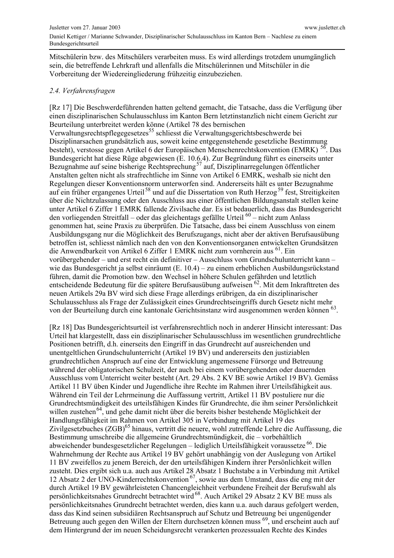Mitschülerin bzw. des Mitschülers verarbeiten muss. Es wird allerdings trotzdem unumgänglich sein, die betreffende Lehrkraft und allenfalls die Mitschülerinnen und Mitschüler in die Vorbereitung der Wiedereingliederung frühzeitig einzubeziehen.

#### 2.4. Verfahrensfragen

[Rz 17] Die Beschwerdeführenden hatten geltend gemacht, die Tatsache, dass die Verfügung über einen disziplinarischen Schulausschluss im Kanton Bern letztinstanzlich nicht einem Gericht zur Beurteilung unterbreitet werden könne (Artikel 78 des bernischen Verwaltungsrechtspflegegesetzes<sup>55</sup> schliesst die Verwaltungsgerichtsbeschwerde bei Disziplinarsachen grundsätzlich aus, soweit keine entgegenstehende gesetzliche Bestimmung besteht), verstosse gegen Artikel 6 der Europäischen Menschenrechtskonvention (EMRK) <sup>56</sup>. Das Bundesgericht hat diese Rüge abgewiesen (E. 10.6.4). Zur Begründung führt es einerseits unter Bezugnahme auf seine bisherige Rechtsprechung<sup>57</sup> auf, Disziplinarregelungen öffentlicher Anstalten gelten nicht als strafrechtliche im Sinne von Artikel 6 EMRK, weshalb sie nicht den Regelungen dieser Konventionsnorm unterworfen sind. Andererseits hält es unter Bezugnahme auf ein früher ergangenes Urteil<sup>58</sup> und auf die Dissertation von Ruth Herzog<sup>59</sup> fest, Streitigkeiten über die Nichtzulassung oder den Ausschluss aus einer öffentlichen Bildungsanstalt stellen keine unter Artikel 6 Ziffer 1 EMRK fallende Zivilsache dar. Es ist bedauerlich, dass das Bundesgericht den vorliegenden Streitfall – oder das gleichentags gefällte Urteil  $60$  – nicht zum Anlass genommen hat, seine Praxis zu überprüfen. Die Tatsache, dass bei einem Ausschluss von einem Ausbildungsgang nur die Möglichkeit des Berufszugangs, nicht aber der aktiven Berufsausübung betroffen ist, schliesst nämlich nach den von den Konventionsorganen entwickelten Grundsätzen die Anwendbarkeit von Artikel 6 Ziffer 1 EMRK nicht zum vornherein aus <sup>61</sup>. Ein vorübergehender – und erst recht ein definitiver – Ausschluss vom Grundschulunterricht kann – wie das Bundesgericht ja selbst einräumt (E. 10.4) – zu einem erheblichen Ausbildungsrückstand führen, damit die Promotion bzw. den Wechsel in höhere Schulen gefährden und letztlich entscheidende Bedeutung für die spätere Berufsausübung aufweisen <sup>62</sup>. Mit dem Inkrafttreten des neuen Artikels 29a BV wird sich diese Frage allerdings erübrigen, da ein disziplinarischer Schulausschluss als Frage der Zulässigkeit eines Grundrechtseingriffs durch Gesetz nicht mehr von der Beurteilung durch eine kantonale Gerichtsinstanz wird ausgenommen werden können<sup>63</sup>.

[Rz 18] Das Bundesgerichtsurteil ist verfahrensrechtlich noch in anderer Hinsicht interessant: Das Urteil hat klargestellt, dass ein disziplinarischer Schulausschluss im wesentlichen grundrechtliche Positionen betrifft, d.h. einerseits den Eingriff in das Grundrecht auf ausreichenden und unentgeltlichen Grundschulunterricht (Artikel 19 BV) und andererseits den justiziablen grundrechtlichen Anspruch auf eine der Entwicklung angemessene Fürsorge und Betreuung während der obligatorischen Schulzeit, der auch bei einem vorübergehenden oder dauernden Ausschluss vom Unterricht weiter besteht (Art. 29 Abs. 2 KV BE sowie Artikel 19 BV). Gemäss Artikel 11 BV üben Kinder und Jugendliche ihre Rechte im Rahmen ihrer Urteilsfähigkeit aus. Während ein Teil der Lehrmeinung die Auffassung vertritt, Artikel 11 BV postuliere nur die Grundrechtsmündigkeit des urteilsfähigen Kindes für Grundrechte, die ihm seiner Persönlichkeit willen zustehen<sup>64</sup>, und gehe damit nicht über die bereits bisher bestehende Möglichkeit der Handlungsfähigkeit im Rahmen von Artikel 305 in Verbindung mit Artikel 19 des Zivilgesetzbuches (ZGB)<sup>65</sup> hinaus, vertritt die neuere, wohl zutreffende Lehre die Auffassung, die Bestimmung umschreibe die allgemeine Grundrechtsmündigkeit, die - vorbehältlich abweichender bundesgesetzlicher Regelungen - lediglich Urteilsfähigkeit voraussetze<sup>66</sup>. Die Wahrnehmung der Rechte aus Artikel 19 BV gehört unabhängig von der Auslegung von Artikel 11 BV zweifellos zu jenem Bereich, der den urteilsfähigen Kindern ihrer Persönlichkeit willen zusteht. Dies ergibt sich u.a. auch aus Artikel 28 Absatz 1 Buchstabe a in Verbindung mit Artikel 12 Absatz 2 der UNO-Kinderrechtskonvention<sup>67</sup>, sowie aus dem Umstand, dass die eng mit der durch Artikel 19 BV gewährleisteten Chancengleichheit verbundene Freiheit der Berufswahl als persönlichkeitsnahes Grundrecht betrachtet wird<sup>68</sup>. Auch Artikel 29 Absatz 2 KV BE muss als persönlichkeitsnahes Grundrecht betrachtet werden, dies kann u.a. auch daraus gefolgert werden, dass das Kind seinen subsidiären Rechtsanspruch auf Schutz und Betreuung bei ungenügender Betreuung auch gegen den Willen der Eltern durchsetzen können muss <sup>69</sup>, und erscheint auch auf dem Hintergrund der im neuen Scheidungsrecht verankerten prozessualen Rechte des Kindes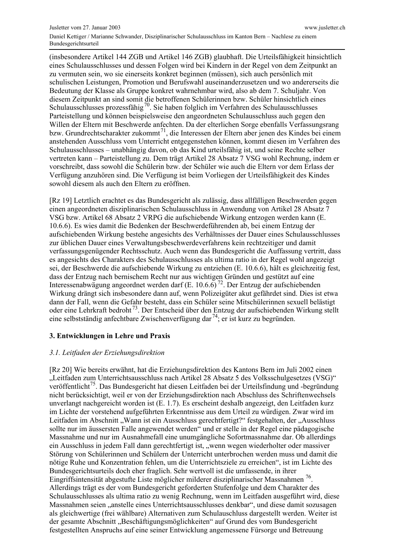(insbesondere Artikel 144 ZGB und Artikel 146 ZGB) glaubhaft. Die Urteilsfähigkeit hinsichtlich eines Schulausschlusses und dessen Folgen wird bei Kindern in der Regel von dem Zeitpunkt an zu vermuten sein, wo sie einerseits konkret beginnen (müssen), sich auch persönlich mit schulischen Leistungen, Promotion und Berufswahl auseinanderzusetzen und wo andererseits die Bedeutung der Klasse als Gruppe konkret wahrnehmbar wird, also ab dem 7. Schuljahr. Von diesem Zeitpunkt an sind somit die betroffenen Schülerinnen bzw. Schüler hinsichtlich eines Schulausschlusses prozessfähig<sup>70</sup>. Sie haben folglich im Verfahren des Schulausschlusses Parteistellung und können beispielsweise den angeordneten Schulausschluss auch gegen den Willen der Eltern mit Beschwerde anfechten. Da der elterlichen Sorge ebenfalls Verfassungsrang bzw. Grundrechtscharakter zukommt<sup>71</sup>, die Interessen der Eltern aber jenen des Kindes bei einem anstehenden Ausschluss vom Unterricht entgegenstehen können, kommt diesen im Verfahren des Schulausschlusses – unabhängig davon, ob das Kind urteilsfähig ist, und seine Rechte selber vertreten kann – Parteistellung zu. Dem trägt Artikel 28 Absatz 7 VSG wohl Rechnung, indem er vorschreibt, dass sowohl die Schülerin bzw. der Schüler wie auch die Eltern vor dem Erlass der Verfügung anzuhören sind. Die Verfügung ist beim Vorliegen der Urteilsfähigkeit des Kindes sowohl diesem als auch den Eltern zu eröffnen.

[Rz 19] Letztlich erachtet es das Bundesgericht als zulässig, dass allfälligen Beschwerden gegen einen angeordneten disziplinarischen Schulausschluss in Anwendung von Artikel 28 Absatz 7 VSG bzw. Artikel 68 Absatz 2 VRPG die aufschiebende Wirkung entzogen werden kann (E. 10.6.6). Es wies damit die Bedenken der Beschwerdeführenden ab, bei einem Entzug der aufschiebenden Wirkung bestehe angesichts des Verhältnisses der Dauer eines Schulausschlusses zur üblichen Dauer eines Verwaltungsbeschwerdeverfahrens kein rechtzeitiger und damit verfassungsgenügender Rechtsschutz. Auch wenn das Bundesgericht die Auffassung vertritt, dass es angesichts des Charakters des Schulausschlusses als ultima ratio in der Regel wohl angezeigt sei, der Beschwerde die aufschiebende Wirkung zu entziehen (E. 10.6.6), hält es gleichzeitig fest, dass der Entzug nach bernischem Recht nur aus wichtigen Gründen und gestützt auf eine Interessenabwägung angeordnet werden darf  $(E. 10.6.6)^{72}$ . Der Entzug der aufschiebenden Wirkung drängt sich insbesondere dann auf, wenn Polizeigüter akut gefährdet sind. Dies ist etwa dann der Fall, wenn die Gefahr besteht, dass ein Schüler seine Mitschülerinnen sexuell belästigt oder eine Lehrkraft bedroht<sup>73</sup>. Der Entscheid über den Entzug der aufschiebenden Wirkung stellt eine selbstständig anfechtbare Zwischenverfügung dar<sup>74</sup>; er ist kurz zu begründen.

## 3. Entwicklungen in Lehre und Praxis

## 3.1. Leitfaden der Erziehungsdirektion

[Rz 20] Wie bereits erwähnt, hat die Erziehungsdirektion des Kantons Bern im Juli 2002 einen "Leitfaden zum Unterrichtsausschluss nach Artikel 28 Absatz 5 des Volksschulgesetzes (VSG)" veröffentlicht<sup>75</sup>. Das Bundesgericht hat diesen Leitfaden bei der Urteilsfindung und -begründung nicht berücksichtigt, weil er von der Erziehungsdirektion nach Abschluss des Schriftenwechsels unverlangt nachgereicht worden ist  $(E. 1.7)$ . Es erscheint deshalb angezeigt, den Leitfaden kurz im Lichte der vorstehend aufgeführten Erkenntnisse aus dem Urteil zu würdigen. Zwar wird im Leitfaden im Abschnitt "Wann ist ein Ausschluss gerechtfertigt?" festgehalten, der "Ausschluss sollte nur im äussersten Falle angewendet werden" und er stelle in der Regel eine pädagogische Massnahme und nur im Ausnahmefall eine unumgängliche Sofortmassnahme dar. Ob allerdings ein Ausschluss in jedem Fall dann gerechtfertigt ist, "wenn wegen wiederholter oder massiver Störung von Schülerinnen und Schülern der Unterricht unterbrochen werden muss und damit die nötige Ruhe und Konzentration fehlen, um die Unterrichtsziele zu erreichen", ist im Lichte des Bundesgerichtsurteils doch eher fraglich. Sehr wertvoll ist die umfassende, in ihrer Eingriffsintensität abgestufte Liste möglicher milderer disziplinarischer Massnahmen<sup>76</sup>. Allerdings trägt es der vom Bundesgericht geforderten Stufenfolge und dem Charakter des Schulausschlusses als ultima ratio zu wenig Rechnung, wenn im Leitfaden ausgeführt wird, diese Massnahmen seien "anstelle eines Unterrichtsausschlusses denkbar", und diese damit sozusagen als gleichwertige (frei wählbare) Alternativen zum Schulauschluss dargestellt werden. Weiter ist der gesamte Abschnitt "Beschäftigungsmöglichkeiten" auf Grund des vom Bundesgericht festgestellten Anspruchs auf eine seiner Entwicklung angemessene Fürsorge und Betreuung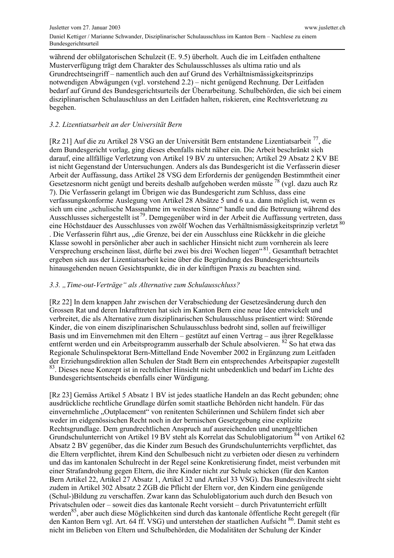während der oblilgatorischen Schulzeit (E. 9.5) überholt. Auch die im Leitfaden enthaltene Musterverfügung trägt dem Charakter des Schulausschlusses als ultima ratio und als Grundrechtseingriff – namentlich auch den auf Grund des Verhältnismässigkeitsprinzips notwendigen Abwägungen (vgl. vorstehend 2.2) – nicht genügend Rechnung. Der Leitfaden bedarf auf Grund des Bundesgerichtsurteils der Überarbeitung. Schulbehörden, die sich bei einem disziplinarischen Schulauschluss an den Leitfaden halten, riskieren, eine Rechtsverletzung zu begehen.

## 3.2. Lizentiatsarbeit an der Universität Bern

[Rz 21] Auf die zu Artikel 28 VSG an der Universität Bern entstandene Lizentiatsarbeit<sup>77</sup>, die dem Bundesgericht vorlag, ging dieses ebenfalls nicht näher ein. Die Arbeit beschränkt sich darauf, eine allfällige Verletzung von Artikel 19 BV zu untersuchen; Artikel 29 Absatz 2 KV BE ist nicht Gegenstand der Untersuchungen. Anders als das Bundesgericht ist die Verfasserin dieser Arbeit der Auffassung, dass Artikel 28 VSG dem Erfordernis der genügenden Bestimmtheit einer Gesetzesnorm nicht genügt und bereits deshalb aufgehoben werden müsste<sup>78</sup> (vgl. dazu auch Rz 7). Die Verfasserin gelangt im Übrigen wie das Bundesgericht zum Schluss, dass eine verfassungskonforme Auslegung von Artikel 28 Absätze 5 und 6 u.a. dann möglich ist, wenn es sich um eine "schulische Massnahme im weitesten Sinne" handle und die Betreuung während des Ausschlusses sichergestellt ist<sup>79</sup>. Demgegenüber wird in der Arbeit die Auffassung vertreten, dass eine Höchstdauer des Ausschlusses von zwölf Wochen das Verhältnismässigkeitsprinzip verletzt<sup>80</sup> . Die Verfasserin führt aus, "die Grenze, bei der ein Ausschluss eine Rückkehr in die gleiche Klasse sowohl in persönlicher aber auch in sachlicher Hinsicht nicht zum vornherein als leere Versprechung erscheinen lässt, dürfte bei zwei bis drei Wochen liegen"<sup>81</sup>. Gesamthaft betrachtet ergeben sich aus der Lizentiatsarbeit keine über die Begründung des Bundesgerichtsurteils hinausgehenden neuen Gesichtspunkte, die in der künftigen Praxis zu beachten sind.

#### 3.3. "Time-out-Verträge" als Alternative zum Schulausschluss?

[Rz 22] In dem knappen Jahr zwischen der Verabschiedung der Gesetzesänderung durch den Grossen Rat und deren Inkrafttreten hat sich im Kanton Bern eine neue Idee entwickelt und verbreitet, die als Alternative zum disziplinarischen Schulausschluss präsentiert wird: Störende Kinder, die von einem disziplinarischen Schulausschluss bedroht sind, sollen auf freiwilliger Basis und im Einvernehmen mit den Eltern - gestützt auf einen Vertrag - aus ihrer Regelklasse entfernt werden und ein Arbeitsprogramm ausserhalb der Schule absolvieren. <sup>82</sup> So hat etwa das Regionale Schulinspektorat Bern-Mittelland Ende November 2002 in Ergänzung zum Leitfaden der Erziehungsdirektion allen Schulen der Stadt Bern ein entsprechendes Arbeitspapier zugestellt <sup>83</sup>. Dieses neue Konzept ist in rechtlicher Hinsicht nicht unbedenklich und bedarf im Lichte des Bundesgerichtsentscheids ebenfalls einer Würdigung.

[Rz 23] Gemäss Artikel 5 Absatz 1 BV ist jedes staatliche Handeln an das Recht gebunden; ohne ausdrückliche rechtliche Grundlage dürfen somit staatliche Behörden nicht handeln. Für das einvernehmliche "Outplacement" von renitenten Schülerinnen und Schülern findet sich aber weder im eidgenössischen Recht noch in der bernischen Gesetzgebung eine explizite Rechtsgrundlage. Dem grundrechtlichen Anspruch auf ausreichenden und unentgeltlichen Grundschulunterricht von Artikel 19 BV steht als Korrelat das Schulobligatorium<sup>84</sup> von Artikel 62 Absatz 2 BV gegenüber, das die Kinder zum Besuch des Grundschulunterrichts verpflichtet, das die Eltern verpflichtet, ihrem Kind den Schulbesuch nicht zu verbieten oder diesen zu verhindern und das im kantonalen Schulrecht in der Regel seine Konkretisierung findet, meist verbunden mit einer Strafandrohung gegen Eltern, die ihre Kinder nicht zur Schule schicken (für den Kanton Bern Artikel 22, Artikel 27 Absatz 1, Artikel 32 und Artikel 33 VSG). Das Bundeszivilrecht sieht zudem in Artikel 302 Absatz 2 ZGB die Pflicht der Eltern vor, den Kindern eine genügende (Schul-)Bildung zu verschaffen. Zwar kann das Schulobligatorium auch durch den Besuch von Privatschulen oder – soweit dies das kantonale Recht vorsieht – durch Privatunterricht erfüllt werden<sup>85</sup>, aber auch diese Möglichkeiten sind durch das kantonale öffentliche Recht geregelt (für den Kanton Bern vgl. Art. 64 ff. VSG) und unterstehen der staatlichen Aufsicht 86. Damit steht es nicht im Belieben von Eltern und Schulbehörden, die Modalitäten der Schulung der Kinder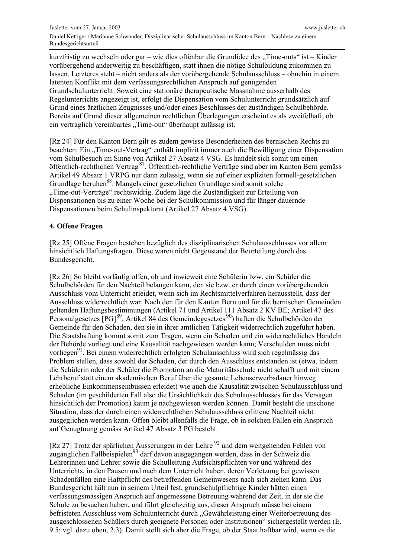kurzfristig zu wechseln oder gar – wie dies offenbar die Grundidee des "Time-outs" ist – Kinder vorübergehend anderweitig zu beschäftigen, statt ihnen die nötige Schulbildung zukommen zu lassen. Letzteres steht – nicht anders als der vorübergehende Schulausschluss – ohnehin in einem latenten Konflikt mit dem verfassungsrechtlichen Anspruch auf genügenden Grundschulunterricht. Soweit eine stationäre therapeutische Massnahme ausserhalb des Regelunterrichts angezeigt ist, erfolgt die Dispensation vom Schulunterricht grundsätzlich auf Grund eines ärztlichen Zeugnisses und/oder eines Beschlusses der zuständigen Schulbehörde. Bereits auf Grund dieser allgemeinen rechtlichen Überlegungen erscheint es als zweifelhaft, ob ein vertraglich vereinbartes "Time-out" überhaupt zulässig ist.

[Rz 24] Für den Kanton Bern gilt es zudem gewisse Besonderheiten des bernischen Rechts zu beachten: Ein "Time-out-Vertrag" enthält implizit immer auch die Bewilligung einer Dispensation vom Schulbesuch im Sinne von Artikel 27 Absatz 4 VSG. Es handelt sich somit um einen öffentlich-rechtlichen Vertrag<sup>87</sup>. Öffentlich-rechtliche Verträge sind aber im Kanton Bern gemäss Artikel 49 Absatz 1 VRPG nur dann zulässig, wenn sie auf einer expliziten formell-gesetzlichen Grundlage beruhen<sup>88</sup>. Mangels einer gesetzlichen Grundlage sind somit solche "Time-out-Verträge" rechtswidrig. Zudem läge die Zuständigkeit zur Erteilung von Dispensationen bis zu einer Woche bei der Schulkommission und für länger dauernde Dispensationen beim Schulinspektorat (Artikel 27 Absatz 4 VSG).

#### 4. Offene Fragen

[Rz 25] Offene Fragen bestehen bezüglich des disziplinarischen Schulausschlusses vor allem hinsichtlich Haftungsfragen. Diese waren nicht Gegenstand der Beurteilung durch das Bundesgericht.

[Rz 26] So bleibt vorläufig offen, ob und inwieweit eine Schülerin bzw. ein Schüler die Schulbehörden für den Nachteil belangen kann, den sie bzw. er durch einen vorübergehenden Ausschluss vom Unterricht erleidet, wenn sich im Rechtsmittelverfahren herausstellt, dass der Ausschluss widerrechtlich war. Nach den für den Kanton Bern und für die bernischen Gemeinden geltenden Haftungsbestimmungen (Artikel 71 und Artikel 111 Absatz 2 KV BE; Artikel 47 des Personalgesetzes [PG]<sup>89</sup>; Artikel 84 des Gemeindegesetzes<sup>90</sup>) haften die Schulbehörden der Gemeinde für den Schaden, den sie in ihrer amtlichen Tätigkeit widerrechtlich zugeführt haben. Die Staatshaftung kommt somit zum Tragen, wenn ein Schaden und ein widerrechtliches Handeln der Behörde vorliegt und eine Kausalität nachgewiesen werden kann; Verschulden muss nicht vorliegen<sup>91</sup>. Bei einem widerrechtlich erfolgten Schulausschluss wird sich regelmässig das Problem stellen, dass sowohl der Schaden, der durch den Ausschluss entstanden ist (etwa, indem die Schülerin oder der Schüler die Promotion an die Maturitätsschule nicht schafft und mit einem Lehrberuf statt einem akademischen Beruf über die gesamte Lebenserwerbsdauer hinweg erhebliche Einkommenseinbussen erleidet) wie auch die Kausalität zwischen Schulausschluss und Schaden (im geschilderten Fall also die Ursächlichkeit des Schulausschlusses für das Versagen hinsichtlich der Promotion) kaum ie nachgewiesen werden können. Damit besteht die unschöne Situation, dass der durch einen widerrechtlichen Schulausschluss erlittene Nachteil nicht ausgeglichen werden kann. Offen bleibt allenfalls die Frage, ob in solchen Fällen ein Anspruch auf Genugtuung gemäss Artikel 47 Absatz 3 PG besteht.

[Rz 27] Trotz der spärlichen Äusserungen in der Lehre <sup>92</sup> und dem weitgehenden Fehlen von zugänglichen Fallbeispielen<sup>93</sup> darf davon ausgegangen werden, dass in der Schweiz die Lehrerinnen und Lehrer sowie die Schulleitung Aufsichtspflichten vor und während des Unterrichts, in den Pausen und nach dem Unterricht haben, deren Verletzung bei gewissen Schadenfällen eine Haftpflicht des betreffenden Gemeinwesens nach sich ziehen kann. Das Bundesgericht hält nun in seinem Urteil fest, grundschulpflichtige Kinder hätten einen verfassungsmässigen Anspruch auf angemessene Betreuung während der Zeit, in der sie die Schule zu besuchen haben, und führt gleichzeitig aus, dieser Anspruch müsse bei einem befristeten Ausschluss vom Schulunterricht durch "Gewährleistung einer Weiterbetreuung des ausgeschlossenen Schülers durch geeignete Personen oder Institutionen" sichergestellt werden (E. 9.5; vgl. dazu oben, 2.3). Damit stellt sich aber die Frage, ob der Staat haftbar wird, wenn es die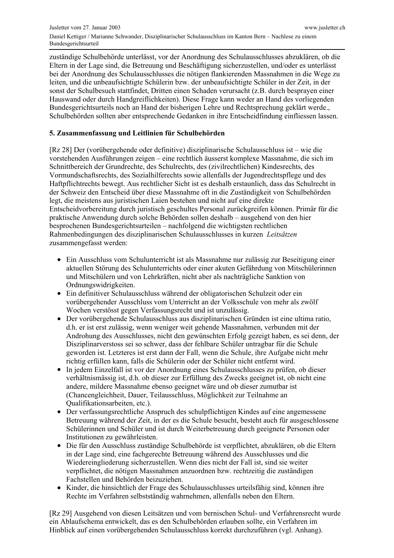zuständige Schulbehörde unterlässt, vor der Anordnung des Schulausschlusses abzuklären, ob die Eltern in der Lage sind, die Betreuung und Beschäftigung sicherzustellen, und/oder es unterlässt bei der Anordnung des Schulausschlusses die nötigen flankierenden Massnahmen in die Wege zu leiten, und die unbeaufsichtigte Schülerin bzw. der unbeaufsichtigte Schüler in der Zeit, in der sonst der Schulbesuch stattfindet, Dritten einen Schaden verursacht (z.B. durch besprayen einer Hauswand oder durch Handgreiflichkeiten). Diese Frage kann weder an Hand des vorliegenden Bundesgerichtsurteils noch an Hand der bisherigen Lehre und Rechtsprechung geklärt werde. Schulbehörden sollten aber entsprechende Gedanken in ihre Entscheidfindung einfliessen lassen.

## 5. Zusammenfassung und Leitlinien für Schulbehörden

[Rz 28] Der (vorübergehende oder definitive) disziplinarische Schulausschluss ist – wie die vorstehenden Ausführungen zeigen – eine rechtlich äusserst komplexe Massnahme, die sich im Schnittbereich der Grundrechte, des Schulrechts, des (zivilrechtlichen) Kindesrechts, des Vormundschaftsrechts, des Sozialhilferechts sowie allenfalls der Jugendrechtspflege und des Haftpflichtrechts bewegt. Aus rechtlicher Sicht ist es deshalb erstaunlich, dass das Schulrecht in der Schweiz den Entscheid über diese Massnahme oft in die Zuständigkeit von Schulbehörden legt, die meistens aus juristischen Laien bestehen und nicht auf eine direkte Entscheidvorbereitung durch juristisch geschultes Personal zurückgreifen können. Primär für die praktische Anwendung durch solche Behörden sollen deshalb – ausgehend von den hier besprochenen Bundesgerichtsurteilen - nachfolgend die wichtigsten rechtlichen Rahmenbedingungen des disziplinarischen Schulausschlusses in kurzen Leitsätzen zusammengefasst werden:

- Ein Ausschluss vom Schulunterricht ist als Massnahme nur zulässig zur Beseitigung einer aktuellen Störung des Schulunterrichts oder einer akuten Gefährdung von Mitschülerinnen und Mitschülern und von Lehrkräften, nicht aber als nachträgliche Sanktion von Ordnungswidrigkeiten.
- Ein definitiver Schulausschluss während der obligatorischen Schulzeit oder ein vorübergehender Ausschluss vom Unterricht an der Volksschule von mehr als zwölf Wochen verstösst gegen Verfassungsrecht und ist unzulässig.
- Der vorübergehende Schulausschluss aus disziplinarischen Gründen ist eine ultima ratio, d.h. er ist erst zulässig, wenn weniger weit gehende Massnahmen, verbunden mit der Androhung des Ausschlusses, nicht den gewünschten Erfolg gezeigt haben, es sei denn, der Disziplinarverstoss sei so schwer, dass der fehlbare Schüler untragbar für die Schule geworden ist. Letzteres ist erst dann der Fall, wenn die Schule, ihre Aufgabe nicht mehr richtig erfüllen kann, falls die Schülerin oder der Schüler nicht entfernt wird.
- In jedem Einzelfall ist vor der Anordnung eines Schulausschlusses zu prüfen, ob dieser verhältnismässig ist, d.h. ob dieser zur Erfüllung des Zwecks geeignet ist, ob nicht eine andere, mildere Massnahme ebenso geeignet wäre und ob dieser zumutbar ist (Chancengleichheit, Dauer, Teilausschluss, Möglichkeit zur Teilnahme an Oualifikationsarbeiten, etc.).
- Der verfassungsrechtliche Anspruch des schulpflichtigen Kindes auf eine angemessene Betreuung während der Zeit, in der es die Schule besucht, besteht auch für ausgeschlossene Schülerinnen und Schüler und ist durch Weiterbetreuung durch geeignete Personen oder Institutionen zu gewährleisten.
- Die für den Ausschluss zuständige Schulbehörde ist verpflichtet, abzuklären, ob die Eltern in der Lage sind, eine fachgerechte Betreuung während des Ausschlusses und die Wiedereingliederung sicherzustellen. Wenn dies nicht der Fall ist, sind sie weiter verpflichtet, die nötigen Massnahmen anzuordnen bzw. rechtzeitig die zuständigen Fachstellen und Behörden beizuziehen.
- Kinder, die hinsichtlich der Frage des Schulausschlusses urteilsfähig sind, können ihre Rechte im Verfahren selbstständig wahrnehmen, allenfalls neben den Eltern.

[Rz 29] Ausgehend von diesen Leitsätzen und vom bernischen Schul- und Verfahrensrecht wurde ein Ablaufschema entwickelt, das es den Schulbehörden erlauben sollte, ein Verfahren im Hinblick auf einen vorübergehenden Schulausschluss korrekt durchzuführen (vgl. Anhang).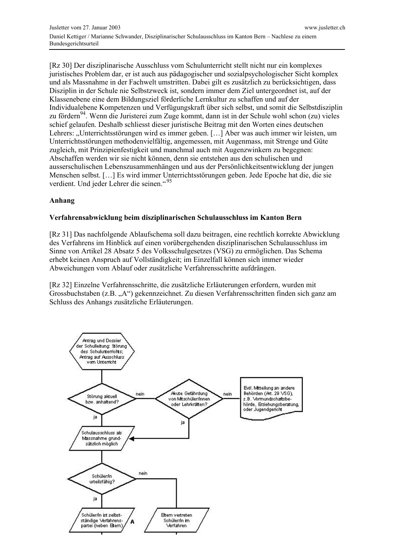[Rz 30] Der disziplinarische Ausschluss vom Schulunterricht stellt nicht nur ein komplexes juristisches Problem dar, er ist auch aus pädagogischer und sozialpsychologischer Sicht komplex und als Massnahme in der Fachwelt umstritten. Dabei gilt es zusätzlich zu berücksichtigen, dass Disziplin in der Schule nie Selbstzweck ist, sondern immer dem Ziel untergeordnet ist, auf der Klassenebene eine dem Bildungsziel förderliche Lernkultur zu schaffen und auf der Individualebene Kompetenzen und Verfügungskraft über sich selbst, und somit die Selbstdisziplin zu fördern<sup>94</sup>. Wenn die Juristerei zum Zuge kommt, dann ist in der Schule wohl schon (zu) vieles schief gelaufen. Deshalb schliesst dieser juristische Beitrag mit den Worten eines deutschen Lehrers: "Unterrichtsstörungen wird es immer geben. [...] Aber was auch immer wir leisten, um Unterrichtsstörungen methoden vielfältig, angemessen, mit Augenmass, mit Strenge und Güte zugleich, mit Prinzipienfestigkeit und manchmal auch mit Augenzwinkern zu begegnen: Abschaffen werden wir sie nicht können, denn sie entstehen aus den schulischen und ausserschulischen Lebenszusammenhängen und aus der Persönlichkeitsentwicklung der jungen Menschen selbst. [...] Es wird immer Unterrichtsstörungen geben. Jede Epoche hat die, die sie verdient. Und jeder Lehrer die seinen."95

## Anhang

## Verfahrensabwicklung beim disziplinarischen Schulausschluss im Kanton Bern

[Rz 31] Das nachfolgende Ablaufschema soll dazu beitragen, eine rechtlich korrekte Abwicklung des Verfahrens im Hinblick auf einen vorübergehenden disziplinarischen Schulausschluss im Sinne von Artikel 28 Absatz 5 des Volksschulgesetzes (VSG) zu ermöglichen. Das Schema erhebt keinen Anspruch auf Vollständigkeit; im Einzelfall können sich immer wieder Abweichungen vom Ablauf oder zusätzliche Verfahrensschritte aufdrängen.

[Rz 32] Einzelne Verfahrensschritte, die zusätzliche Erläuterungen erfordern, wurden mit Grossbuchstaben (z.B. "A") gekennzeichnet. Zu diesen Verfahrensschritten finden sich ganz am Schluss des Anhangs zusätzliche Erläuterungen.

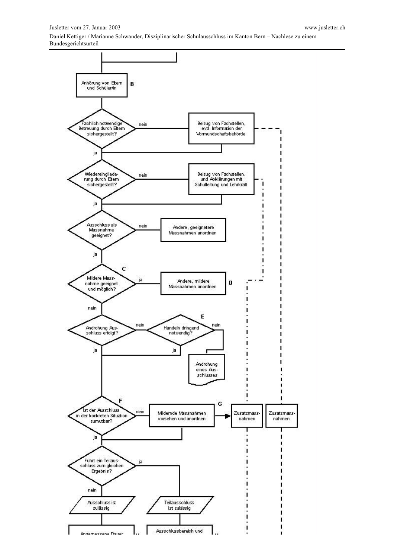

ı 1e.

ï

Annemaccane Dauer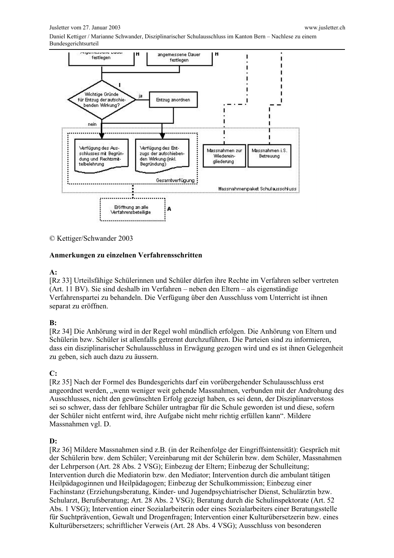#### Jusletter vom 27. Januar 2003

Daniel Kettiger / Marianne Schwander, Disziplinarischer Schulausschluss im Kanton Bern - Nachlese zu einem Bundesgerichtsurteil



© Kettiger/Schwander 2003

#### Anmerkungen zu einzelnen Verfahrensschritten

#### $A$ :

[Rz 33] Urteilsfähige Schülerinnen und Schüler dürfen ihre Rechte im Verfahren selber vertreten (Art. 11 BV). Sie sind deshalb im Verfahren – neben den Eltern – als eigenständige Verfahrenspartei zu behandeln. Die Verfügung über den Ausschluss vom Unterricht ist ihnen separat zu eröffnen.

#### $B:$

[Rz 34] Die Anhörung wird in der Regel wohl mündlich erfolgen. Die Anhörung von Eltern und Schülerin bzw. Schüler ist allenfalls getrennt durchzuführen. Die Parteien sind zu informieren, dass ein disziplinarischer Schulausschluss in Erwägung gezogen wird und es ist ihnen Gelegenheit zu geben, sich auch dazu zu äussern.

#### $C:$

[Rz 35] Nach der Formel des Bundesgerichts darf ein vorübergehender Schulausschluss erst angeordnet werden, "wenn weniger weit gehende Massnahmen, verbunden mit der Androhung des Ausschlusses, nicht den gewünschten Erfolg gezeigt haben, es sei denn, der Disziplinarverstoss sei so schwer, dass der fehlbare Schüler untragbar für die Schule geworden ist und diese, sofern der Schüler nicht entfernt wird, ihre Aufgabe nicht mehr richtig erfüllen kann". Mildere Massnahmen vgl. D.

#### $\mathbf{D}$ :

[Rz 36] Mildere Massnahmen sind z.B. (in der Reihenfolge der Eingriffsintensität): Gespräch mit der Schülerin bzw. dem Schüler; Vereinbarung mit der Schülerin bzw. dem Schüler, Massnahmen der Lehrperson (Art. 28 Abs. 2 VSG); Einbezug der Eltern; Einbezug der Schulleitung; Intervention durch die Mediatorin bzw. den Mediator: Intervention durch die ambulant tätigen Heilpädagoginnen und Heilpädagogen; Einbezug der Schulkommission; Einbezug einer Fachinstanz (Erziehungsberatung, Kinder- und Jugendpsychiatrischer Dienst, Schulärztin bzw. Schularzt, Berufsberatung; Art. 28 Abs. 2 VSG); Beratung durch die Schulinspektorate (Art. 52 Abs. 1 VSG); Intervention einer Sozialarbeiterin oder eines Sozialarbeiters einer Beratungsstelle für Suchtprävention, Gewalt und Drogenfragen; Intervention einer Kulturübersetzerin bzw. eines Kulturübersetzers; schriftlicher Verweis (Art. 28 Abs. 4 VSG); Ausschluss von besonderen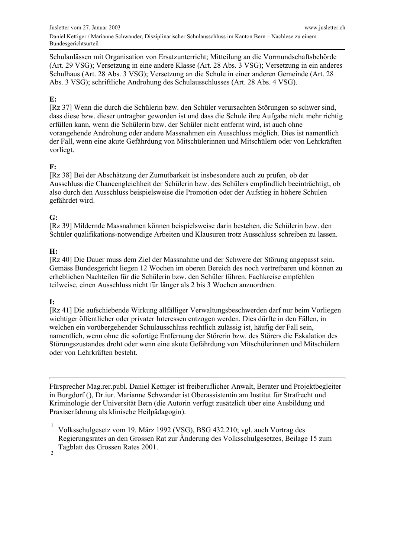Schulanlässen mit Organisation von Ersatzunterricht; Mitteilung an die Vormundschaftsbehörde (Art. 29 VSG); Versetzung in eine andere Klasse (Art. 28 Abs. 3 VSG); Versetzung in ein anderes Schulhaus (Art. 28 Abs. 3 VSG); Versetzung an die Schule in einer anderen Gemeinde (Art. 28 Abs. 3 VSG); schriftliche Androhung des Schulausschlusses (Art. 28 Abs. 4 VSG).

## $\mathbf{E}$ :

[Rz 37] Wenn die durch die Schülerin bzw. den Schüler verursachten Störungen so schwer sind. dass diese bzw. dieser untragbar geworden ist und dass die Schule ihre Aufgabe nicht mehr richtig erfüllen kann, wenn die Schülerin bzw. der Schüler nicht entfernt wird, ist auch ohne vorangehende Androhung oder andere Massnahmen ein Ausschluss möglich. Dies ist namentlich der Fall, wenn eine akute Gefährdung von Mitschülerinnen und Mitschülern oder von Lehrkräften vorliegt.

## $F:$

[Rz 38] Bei der Abschätzung der Zumutbarkeit ist insbesondere auch zu prüfen, ob der Ausschluss die Chancengleichheit der Schülerin bzw. des Schülers empfindlich beeinträchtigt, ob also durch den Ausschluss beispielsweise die Promotion oder der Aufstieg in höhere Schulen gefährdet wird.

## $G:$

[Rz 39] Mildernde Massnahmen können beispielsweise darin bestehen, die Schülerin bzw. den Schüler qualifikations-notwendige Arbeiten und Klausuren trotz Ausschluss schreiben zu lassen.

## $H:$

[Rz 40] Die Dauer muss dem Ziel der Massnahme und der Schwere der Störung angepasst sein. Gemäss Bundesgericht liegen 12 Wochen im oberen Bereich des noch vertretbaren und können zu erheblichen Nachteilen für die Schülerin bzw. den Schüler führen. Fachkreise empfehlen teilweise, einen Ausschluss nicht für länger als 2 bis 3 Wochen anzuordnen.

## $\mathbf{I}$ :

[Rz 41] Die aufschiebende Wirkung allfälliger Verwaltungsbeschwerden darf nur beim Vorliegen wichtiger öffentlicher oder privater Interessen entzogen werden. Dies dürfte in den Fällen, in welchen ein vorübergehender Schulausschluss rechtlich zulässig ist, häufig der Fall sein, namentlich, wenn ohne die sofortige Entfernung der Störerin bzw. des Störers die Eskalation des Störungszustandes droht oder wenn eine akute Gefährdung von Mitschülerinnen und Mitschülern oder von Lehrkräften besteht.

Fürsprecher Mag.rer.publ. Daniel Kettiger ist freiberuflicher Anwalt, Berater und Projektbegleiter in Burgdorf (), Dr.iur. Marianne Schwander ist Oberassistentin am Institut für Strafrecht und Kriminologie der Universität Bern (die Autorin verfügt zusätzlich über eine Ausbildung und Praxiserfahrung als klinische Heilpädagogin).

Volksschulgesetz vom 19. März 1992 (VSG), BSG 432.210; vgl. auch Vortrag des Regierungsrates an den Grossen Rat zur Änderung des Volksschulgesetzes, Beilage 15 zum Tagblatt des Grossen Rates 2001.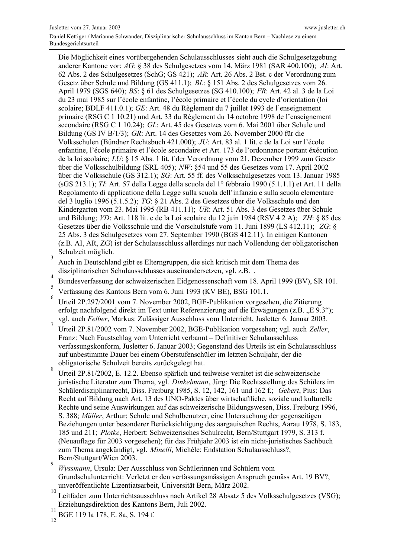Die Möglichkeit eines vorübergehenden Schulausschlusses sieht auch die Schulgesetzgebung anderer Kantone vor: AG: § 38 des Schulgesetzes vom 14. März 1981 (SAR 400.100); AI: Art. 62 Abs. 2 des Schulgesetzes (SchG; GS 421); AR: Art. 26 Abs. 2 Bst. c der Verordnung zum Gesetz über Schule und Bildung (GS 411.1); BL: § 151 Abs. 2 des Schulgesetzes vom 26. April 1979 (SGS 640); BS: § 61 des Schulgesetzes (SG 410.100); FR: Art. 42 al. 3 de la Loi du 23 mai 1985 sur l'école enfantine, l'école primaire et l'école du cycle d'orientation (loi scolaire; BDLF 411.0.1); GE: Art. 48 du Règlement du 7 juillet 1993 de l'enseignement primaire (RSG C 1 10.21) und Art. 33 du Règlement du 14 octobre 1998 de l'enseignement secondaire (RSG C 1 10.24); GL: Art. 45 des Gesetzes vom 6. Mai 2001 über Schule und Bildung (GS IV B/1/3); GR: Art. 14 des Gesetzes vom 26. November 2000 für die Volksschulen (Bündner Rechtsbuch 421.000); JU: Art. 83 al. 1 lit. c de la Loi sur l'école enfantine, l'école primaire et l'école secondaire et Art. 173 de l'ordonnance portant éxécution de la loi scolaire; LU: § 15 Abs. 1 lit. f der Verordnung vom 21. Dezember 1999 zum Gesetz über die Volksschulbildung (SRL 405); NW: §54 und 55 des Gesetzes vom 17. April 2002 über die Volksschule (GS 312.1); SG: Art. 55 ff. des Volksschulgesetzes vom 13. Januar 1985 (sGS 213.1); TI. Art. 57 della Legge della scuola del 1º febbraio 1990 (5.1.1.1) et Art. 11 della Regolamento di applicatione della Legge sulla scuola dell'infanzia e sulla scuola elementare del 3 luglio 1996 (5.1.5.2);  $TG: \S 21$  Abs. 2 des Gesetzes über die Volksschule und den Kindergarten vom 23. Mai 1995 (RB 411.11); UR: Art. 51 Abs. 3 des Gesetzes über Schule und Bildung; VD: Art. 118 lit. c de la Loi scolaire du 12 juin 1984 (RSV 4 2 A); ZH: § 85 des Gesetzes über die Volksschule und die Vorschulstufe vom 11. Juni 1899 (LS 412.11); ZG: § 25 Abs. 3 des Schulgesetzes vom 27. September 1990 (BGS 412.11). In einigen Kantonen (z.B. AI, AR, ZG) ist der Schulausschluss allerdings nur nach Vollendung der obligatorischen Schulzeit möglich.

- $\overline{3}$ Auch in Deutschland gibt es Elterngruppen, die sich kritisch mit dem Thema des disziplinarischen Schulausschlusses auseinandersetzen, vgl. z.B. .
- $\overline{4}$ Bundesverfassung der schweizerischen Eidgenossenschaft vom 18. April 1999 (BV), SR 101.  $\overline{5}$
- Verfassung des Kantons Bern vom 6. Juni 1993 (KV BE), BSG 101.1.
- 6 Urteil 2P.297/2001 vom 7. November 2002, BGE-Publikation vorgesehen, die Zitierung erfolgt nachfolgend direkt im Text unter Referenzierung auf die Erwägungen (z.B. "E 9.3"); vgl. auch Felber, Markus: Zulässiger Ausschluss vom Unterricht, Jusletter 6. Januar 2003.
- $\overline{7}$ Urteil 2P.81/2002 vom 7. November 2002, BGE-Publikation vorgesehen; vgl. auch Zeller, Franz: Nach Faustschlag vom Unterricht verbannt – Definitiver Schulausschluss verfassungskonform, Jusletter 6. Januar 2003; Gegenstand des Urteils ist ein Schulausschluss auf unbestimmte Dauer bei einem Oberstufenschüler im letzten Schuljahr, der die obligatorische Schulzeit bereits zurückgelegt hat.  $\mathbf{\hat{R}}$
- Urteil 2P.81/2002, E. 12.2. Ebenso spärlich und teilweise veraltet ist die schweizerische juristische Literatur zum Thema, vgl. Dinkelmann, Jürg: Die Rechtsstellung des Schülers im Schülerdisziplinarrecht, Diss. Freiburg 1985, S. 12, 142, 161 und 162 f.; Gebert, Pius: Das Recht auf Bildung nach Art. 13 des UNO-Paktes über wirtschaftliche, soziale und kulturelle Rechte und seine Auswirkungen auf das schweizerische Bildungswesen, Diss. Freiburg 1996, S. 388; Müller, Arthur: Schule und Schulbenutzer, eine Untersuchung der gegenseitigen Beziehungen unter besonderer Berücksichtigung des aargauischen Rechts, Aarau 1978, S. 183, 185 und 211; Plotke, Herbert: Schweizerisches Schulrecht, Bern/Stuttgart 1979, S. 313 f. (Neuauflage für 2003 vorgesehen); für das Frühjahr 2003 ist ein nicht-juristisches Sachbuch zum Thema angekündigt, vgl. Minelli, Michèle: Endstation Schulausschluss?, Bern/Stuttgart/Wien 2003.
- Wyssmann. Ursula: Der Ausschluss von Schülerinnen und Schülern vom Grundschulunterricht: Verletzt er den verfassungsmässigen Anspruch gemäss Art. 19 BV?, unveröffentlichte Lizentiatsarbeit, Universität Bern, März 2002.
- $10$ Leitfaden zum Unterrichtsausschluss nach Artikel 28 Absatz 5 des Volksschulgesetzes (VSG); Erziehungsdirektion des Kantons Bern, Juli 2002.
- $11$ BGE 119 Ia 178, E. 8a, S. 194 f.

 $12$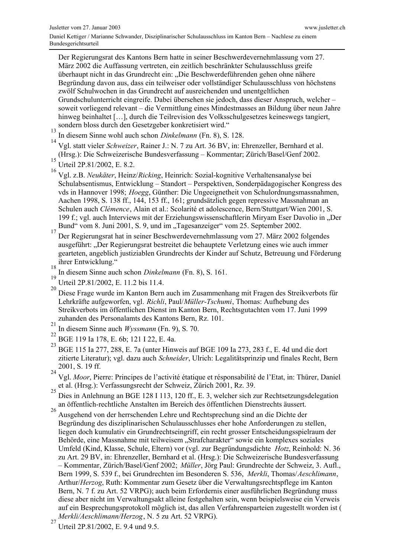Der Regierungsrat des Kantons Bern hatte in seiner Beschwerdevernehmlassung vom 27. März 2002 die Auffassung vertreten, ein zeitlich beschränkter Schulausschluss greife überhaupt nicht in das Grundrecht ein: "Die Beschwerdeführenden gehen ohne nähere Begründung davon aus, dass ein teilweiser oder vollständiger Schulausschluss von höchstens zwölf Schulwochen in das Grundrecht auf ausreichenden und unentgeltlichen Grundschulunterricht eingreife. Dabei übersehen sie jedoch, dass dieser Anspruch, welchersoweit vorliegend relevant – die Vermittlung eines Mindestmasses an Bildung über neun Jahre hinweg beinhaltet [...], durch die Teilrevision des Volksschulgesetzes keineswegs tangiert, sondern bloss durch den Gesetzgeber konkretisiert wird."

 $13$ In diesem Sinne wohl auch schon Dinkelmann (Fn. 8), S. 128.

 $14$ Vgl. statt vieler Schweizer, Rainer J.: N. 7 zu Art. 36 BV, in: Ehrenzeller, Bernhard et al. (Hrsg.): Die Schweizerische Bundesverfassung - Kommentar; Zürich/Basel/Genf 2002.

- 15 Urteil 2P.81/2002, E. 8.2.
- 16 Vgl. z.B. Neukäter, Heinz/Ricking, Heinrich: Sozial-kognitive Verhaltensanalyse bei Schulabsentismus, Entwicklung – Standort – Perspektiven, Sonderpädagogischer Kongress des vds in Hannover 1998; Hoegg, Günther: Die Ungeeignetheit von Schulordnungsmassnahmen, Aachen 1998, S. 138 ff., 144, 153 ff., 161; grundsätzlich gegen repressive Massnahman an Schulen auch Clémence, Alain et al.: Scolarité et adolescence, Bern/Stuttgart/Wien 2001, S. 199 f.; vgl. auch Interviews mit der Erziehungswissenschaftlerin Miryam Eser Davolio in "Der Bund" vom 8. Juni 2001, S. 9, und im "Tagesanzeiger" vom 25. September 2002.
- $17$ Der Regierungsrat hat in seiner Beschwerdevernehmlassung vom 27. März 2002 folgendes ausgeführt: "Der Regierungsrat bestreitet die behauptete Verletzung eines wie auch immer gearteten, angeblich justiziablen Grundrechts der Kinder auf Schutz, Betreuung und Förderung ihrer Entwicklung." 18
- In diesem Sinne auch schon Dinkelmann (Fn. 8), S. 161. 19
- Urteil 2P.81/2002, E. 11.2 bis 11.4. 20
- Diese Frage wurde im Kanton Bern auch im Zusammenhang mit Fragen des Streikverbots für Lehrkräfte aufgeworfen, vgl. Richli, Paul/Müller-Tschumi, Thomas: Aufhebung des Streikverbots im öffentlichen Dienst im Kanton Bern, Rechtsgutachten vom 17. Juni 1999 zuhanden des Personalamts des Kantons Bern, Rz. 101.
- $\overline{21}$ In diesem Sinne auch *Wyssmann* (Fn. 9), S. 70.
- 22 BGE 119 Ia 178, E. 6b; 121 I 22, E. 4a.
- 23 BGE 115 Ia 277, 288, E. 7a (unter Hinweis auf BGE 109 Ia 273, 283 f., E. 4d und die dort zitierte Literatur); vgl. dazu auch Schneider, Ulrich: Legalitätsprinzip und finales Recht, Bern 2001, S. 19 ff. 24
- Vgl. Moor, Pierre: Principes de l'activité étatique et résponsabilité de l'Etat, in: Thürer, Daniel et al. (Hrsg.): Verfassungsrecht der Schweiz, Zürich 2001, Rz. 39.
- 25 Dies in Anlehnung an BGE 128 I 113, 120 ff., E. 3, welcher sich zur Rechtsetzungsdelegation an öffentlich-rechtliche Anstalten im Bereich des öffentlichen Dienstrechts äussert.
- 26 Ausgehend von der herrschenden Lehre und Rechtsprechung sind an die Dichte der Begründung des disziplinarischen Schulausschlusses eher hohe Anforderungen zu stellen, liegen doch kumulativ ein Grundrechtseingriff, ein recht grosser Entscheidungsspielraum der Behörde, eine Massnahme mit teilweisem "Strafcharakter" sowie ein komplexes soziales Umfeld (Kind, Klasse, Schule, Eltern) vor (vgl. zur Begründungsdichte Hotz, Reinhold: N. 36 zu Art. 29 BV, in: Ehrenzeller, Bernhard et al. (Hrsg.): Die Schweizerische Bundesverfassung - Kommentar, Zürich/Basel/Genf 2002; Müller, Jörg Paul: Grundrechte der Schweiz, 3. Aufl., Bern 1999, S. 539 f., bei Grundrechten im Besonderen S. 536, Merkli, Thomas/Aeschlimann, Arthur/Herzog, Ruth: Kommentar zum Gesetz über die Verwaltungsrechtspflege im Kanton Bern, N. 7 f. zu Art. 52 VRPG); auch beim Erfordernis einer ausführlichen Begründung muss diese aber nicht im Verwaltungsakt alleine festgehalten sein, wenn beispielsweise ein Verweis auf ein Besprechungsprotokoll möglich ist, das allen Verfahrensparteien zugestellt worden ist ( Merkli/Aeschlimann/Herzog, N. 5 zu Art. 52 VRPG).

 $27$ Urteil 2P.81/2002, E. 9.4 und 9.5.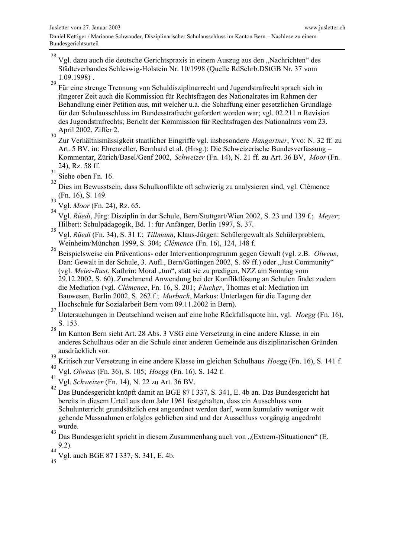28 Vgl. dazu auch die deutsche Gerichtspraxis in einem Auszug aus den "Nachrichten" des Städteverbandes Schleswig-Holstein Nr. 10/1998 (Quelle RdSchrb.DStGB Nr. 37 vom  $1.09.1998$ .

29 Für eine strenge Trennung von Schuldisziplinarrecht und Jugendstrafrecht sprach sich in jüngerer Zeit auch die Kommission für Rechtsfragen des Nationalrates im Rahmen der Behandlung einer Petition aus, mit welcher u.a. die Schaffung einer gesetzlichen Grundlage für den Schulausschluss im Bundesstrafrecht gefordert worden war; vgl. 02.211 n Revision des Jugendstrafrechts; Bericht der Kommission für Rechtsfragen des Nationalrats vom 23. April 2002, Ziffer 2.

 $30$ Zur Verhältnismässigkeit staatlicher Eingriffe vgl. insbesondere Hangartner, Yvo: N. 32 ff. zu Art. 5 BV, in: Ehrenzeller, Bernhard et al. (Hrsg.): Die Schweizerische Bundesverfassung – Kommentar, Zürich/Basel/Genf 2002, Schweizer (Fn. 14), N. 21 ff. zu Art. 36 BV, Moor (Fn. 24), Rz. 58 ff.  $31$ 

Siehe oben Fn. 16. 32

Dies im Bewusstsein, dass Schulkonflikte oft schwierig zu analysieren sind, vgl. Clémence (Fn. 16), S. 149.

 $33$ Vgl. Moor (Fn. 24), Rz. 65.

Vgl. Rüedi, Jürg: Disziplin in der Schule, Bern/Stuttgart/Wien 2002, S. 23 und 139 f.; Meyer; Hilbert: Schulpädagogik, Bd. 1: für Anfänger, Berlin 1997, S. 37.

 $35$ Vgl. Rüedi (Fn. 34), S. 31 f.; Tillmann, Klaus-Jürgen: Schülergewalt als Schülerproblem, Weinheim/München 1999, S. 304; Clémence (Fn. 16), 124, 148 f.

36 Beispielsweise ein Präventions- oder Interventionprogramm gegen Gewalt (vgl. z.B. Olweus, Dan: Gewalt in der Schule, 3. Aufl., Bern/Göttingen 2002, S. 69 ff.) oder "Just Community" (vgl. Meier-Rust, Kathrin: Moral "tun", statt sie zu predigen, NZZ am Sonntag vom 29.12.2002, S. 60). Zunehmend Anwendung bei der Konfliktlösung an Schulen findet zudem die Mediation (vgl. Clémence, Fn. 16, S. 201; Flucher, Thomas et al: Mediation im Bauwesen, Berlin 2002, S. 262 f.; Murbach, Markus: Unterlagen für die Tagung der Hochschule für Sozialarbeit Bern vom 09.11.2002 in Bern).  $37$ 

Untersuchungen in Deutschland weisen auf eine hohe Rückfallsquote hin, vgl. Hoegg (Fn. 16), S. 153.

38 Im Kanton Bern sieht Art. 28 Abs. 3 VSG eine Versetzung in eine andere Klasse, in ein anderes Schulhaus oder an die Schule einer anderen Gemeinde aus disziplinarischen Gründen ausdrücklich vor. 39

Kritisch zur Versetzung in eine andere Klasse im gleichen Schulhaus Hoegg (Fn. 16), S. 141 f.

- 40 Vgl. Olweus (Fn. 36), S. 105; Hoegg (Fn. 16), S. 142 f.
- 41 Vgl. Schweizer (Fn. 14), N. 22 zu Art. 36 BV.

42 Das Bundesgericht knüpft damit an BGE 87 I 337, S. 341, E. 4b an. Das Bundesgericht hat bereits in diesem Urteil aus dem Jahr 1961 festgehalten, dass ein Ausschluss vom Schulunterricht grundsätzlich erst angeordnet werden darf, wenn kumulativ weniger weit gehende Massnahmen erfolglos geblieben sind und der Ausschluss vorgängig angedroht wurde.  $43$ 

Das Bundesgericht spricht in diesem Zusammenhang auch von "(Extrem-)Situationen" (E.  $9.2$ ). 44

Vgl. auch BGE 87 I 337, S. 341, E. 4b.  $45$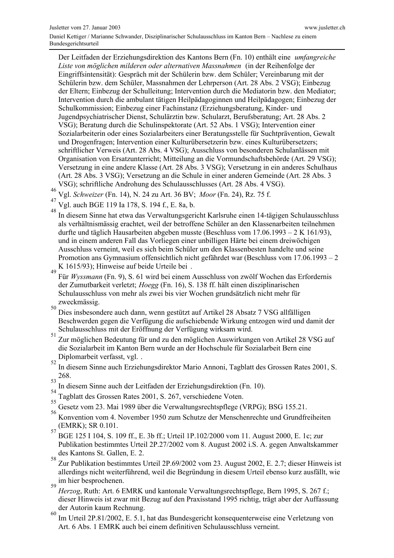Der Leitfaden der Erziehungsdirektion des Kantons Bern (Fn. 10) enthält eine *umfangreiche* Liste von möglichen milderen oder alternativen Massnahmen (in der Reihenfolge der Eingriffsintensität): Gespräch mit der Schülerin bzw. dem Schüler; Vereinbarung mit der Schülerin bzw. dem Schüler, Massnahmen der Lehrperson (Art. 28 Abs. 2 VSG); Einbezug der Eltern: Einbezug der Schulleitung: Intervention durch die Mediatorin bzw. den Mediator: Intervention durch die ambulant tätigen Heilpädagoginnen und Heilpädagogen; Einbezug der Schulkommission; Einbezug einer Fachinstanz (Erziehungsberatung, Kinder- und Jugendpsychiatrischer Dienst, Schulärztin bzw. Schularzt, Berufsberatung; Art. 28 Abs. 2 VSG); Beratung durch die Schulinspektorate (Art. 52 Abs. 1 VSG); Intervention einer Sozialarbeiterin oder eines Sozialarbeiters einer Beratungsstelle für Suchtprävention, Gewalt und Drogenfragen: Intervention einer Kulturübersetzerin bzw. eines Kulturübersetzers: schriftlicher Verweis (Art. 28 Abs. 4 VSG); Ausschluss von besonderen Schulanlässen mit Organisation von Ersatzunterricht; Mitteilung an die Vormundschaftsbehörde (Art. 29 VSG); Versetzung in eine andere Klasse (Art. 28 Abs. 3 VSG); Versetzung in ein anderes Schulhaus (Art. 28 Abs. 3 VSG); Versetzung an die Schule in einer anderen Gemeinde (Art. 28 Abs. 3 VSG); schriftliche Androhung des Schulausschlusses (Art. 28 Abs. 4 VSG).

- Vgl. Schweizer (Fn. 14), N. 24 zu Art. 36 BV; Moor (Fn. 24), Rz. 75 f.
- Vgl. auch BGE 119 Ia 178, S. 194 f., E. 8a, b.

48 In diesem Sinne hat etwa das Verwaltungsgericht Karlsruhe einen 14-tägigen Schulausschluss als verhältnismässig erachtet, weil der betroffene Schüler an den Klassenarbeiten teilnehmen durfte und täglich Hausarbeiten abgeben musste (Beschluss vom 17.06.1993 – 2 K 161/93), und in einem anderen Fall das Vorliegen einer unbilligen Härte bei einem dreiwöchigen Ausschluss verneint, weil es sich beim Schüler um den Klassenbesten handelte und seine Promotion ans Gymnasium offensichtlich nicht gefährdet war (Beschluss vom 17.06.1993 – 2 K 1615/93); Hinweise auf beide Urteile bei.  $\overline{49}$ 

Für Wyssmann (Fn. 9), S. 61 wird bei einem Ausschluss von zwölf Wochen das Erfordernis der Zumutbarkeit verletzt; Hoegg (Fn. 16), S. 138 ff. hält einen disziplinarischen Schulausschluss von mehr als zwei bis vier Wochen grundsätzlich nicht mehr für zweckmässig. 50

Dies insbesondere auch dann, wenn gestützt auf Artikel 28 Absatz 7 VSG allfälligen Beschwerden gegen die Verfügung die aufschiebende Wirkung entzogen wird und damit der Schulausschluss mit der Eröffnung der Verfügung wirksam wird.

51 Zur möglichen Bedeutung für und zu den möglichen Auswirkungen von Artikel 28 VSG auf die Sozialarbeit im Kanton Bern wurde an der Hochschule für Sozialarbeit Bern eine Diplomarbeit verfasst, vgl... 52

- In diesem Sinne auch Erziehungsdirektor Mario Annoni, Tagblatt des Grossen Rates 2001, S. 268. 53
- In diesem Sinne auch der Leitfaden der Erziehungsdirektion (Fn. 10).
- 54 Tagblatt des Grossen Rates 2001, S. 267, verschiedene Voten.
- 55 Gesetz vom 23. Mai 1989 über die Verwaltungsrechtspflege (VRPG); BSG 155.21.
- 56 Konvention vom 4. November 1950 zum Schutze der Menschenrechte und Grundfreiheiten (EMRK); SR 0.101. 57
- BGE 125 I 104, S. 109 ff., E. 3b ff.; Urteil 1P.102/2000 vom 11. August 2000, E. 1c; zur Publikation bestimmtes Urteil 2P.27/2002 vom 8. August 2002 i.S. A. gegen Anwaltskammer des Kantons St. Gallen, E. 2. 58
- Zur Publikation bestimmtes Urteil 2P.69/2002 vom 23. August 2002, E. 2.7; dieser Hinweis ist allerdings nicht weiterführend, weil die Begründung in diesem Urteil ebenso kurz ausfällt, wie im hier besprochenen. 59
- Herzog, Ruth: Art. 6 EMRK und kantonale Verwaltungsrechtspflege, Bern 1995, S. 267 f.; dieser Hinweis ist zwar mit Bezug auf den Praxisstand 1995 richtig, trägt aber der Auffassung der Autorin kaum Rechnung.
- 60 Im Urteil 2P.81/2002, E. 5.1, hat das Bundesgericht konsequenterweise eine Verletzung von Art. 6 Abs. 1 EMRK auch bei einem definitiven Schulausschluss verneint.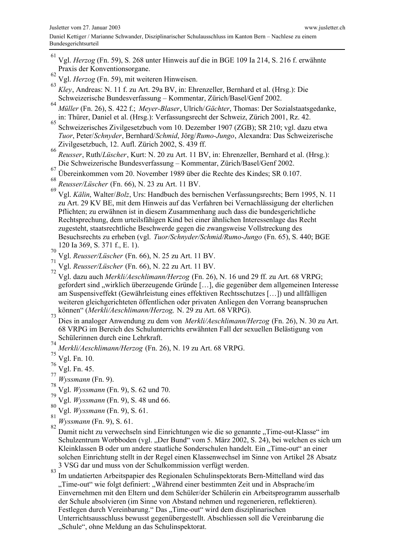- 61 Vgl. Herzog (Fn. 59), S. 268 unter Hinweis auf die in BGE 109 Ia 214, S. 216 f. erwähnte Praxis der Konventionsorgane.
- 62 Vgl. Herzog (Fn. 59), mit weiteren Hinweisen.
- 63 Kley, Andreas: N. 11 f. zu Art. 29a BV, in: Ehrenzeller, Bernhard et al. (Hrsg.): Die Schweizerische Bundesverfassung – Kommentar, Zürich/Basel/Genf 2002.
- 64 Müller (Fn. 26), S. 422 f.; Meyer-Blaser, Ulrich/Gächter, Thomas: Der Sozialstaatsgedanke, in: Thürer, Daniel et al. (Hrsg.): Verfassungsrecht der Schweiz, Zürich 2001, Rz. 42.
- 65 Schweizerisches Zivilgesetzbuch vom 10. Dezember 1907 (ZGB); SR 210; vgl. dazu etwa Tuor, Peter/Schnyder, Bernhard/Schmid, Jörg/Rumo-Jungo, Alexandra: Das Schweizerische Zivilgesetzbuch, 12. Aufl. Zürich 2002, S. 439 ff. 66
- Reusser, Ruth/Lüscher, Kurt: N. 20 zu Art. 11 BV, in: Ehrenzeller, Bernhard et al. (Hrsg.): Die Schweizerische Bundesverfassung - Kommentar, Zürich/Basel/Genf 2002.
- 67 Übereinkommen vom 20. November 1989 über die Rechte des Kindes; SR 0.107.
- 68 Reusser/Lüscher (Fn. 66), N. 23 zu Art. 11 BV.
- 69 Vgl. Kälin, Walter/Bolz, Urs: Handbuch des bernischen Verfassungsrechts; Bern 1995, N. 11 zu Art. 29 KV BE, mit dem Hinweis auf das Verfahren bei Vernachlässigung der elterlichen Pflichten; zu erwähnen ist in diesem Zusammenhang auch dass die bundesgerichtliche Rechtsprechung, dem urteilsfähigen Kind bei einer ähnlichen Interessenlage das Recht zugesteht, staatsrechtliche Beschwerde gegen die zwangsweise Vollstreckung des Besuchsrechts zu erheben (vgl. Tuor/Schnyder/Schmid/Rumo-Jungo (Fn. 65), S. 440; BGE 120 Ia 369, S. 371 f., E. 1).
- 70 Vgl. Reusser/Lüscher (Fn. 66), N. 25 zu Art. 11 BV.
- 71 Vgl. Reusser/Lüscher (Fn. 66), N. 22 zu Art. 11 BV.
- $72$ Vgl. dazu auch Merkli/Aeschlimann/Herzog (Fn. 26), N. 16 und 29 ff. zu Art. 68 VRPG; gefordert sind "wirklich überzeugende Gründe [...], die gegenüber dem allgemeinen Interesse am Suspensiveffekt (Gewährleistung eines effektiven Rechtsschutzes [...]) und allfälligen weiteren gleichgerichteten öffentlichen oder privaten Anliegen den Vorrang beanspruchen können" (Merkli/Aeschlimann/Herzog, N. 29 zu Art. 68 VRPG).
- $73$ Dies in analoger Anwendung zu dem von Merkli/Aeschlimann/Herzog (Fn. 26), N. 30 zu Art. 68 VRPG im Bereich des Schulunterrichts erwähnten Fall der sexuellen Belästigung von Schülerinnen durch eine Lehrkraft.  $74$
- Merkli/Aeschlimann/Herzog (Fn. 26), N. 19 zu Art. 68 VRPG.
- 75 Vgl. Fn. 10.
- 76 Vgl. Fn. 45.
- 77 Wyssmann (Fn. 9).
- 78 Vgl. Wyssmann (Fn. 9), S. 62 und 70.
- 79 Vgl. Wyssmann (Fn. 9), S. 48 und 66.
- 80 Vgl. Wyssmann (Fn. 9), S. 61.
- 81 Wyssmann (Fn. 9), S. 61. 82
	- Damit nicht zu verwechseln sind Einrichtungen wie die so genannte "Time-out-Klasse" im Schulzentrum Worbboden (vgl. "Der Bund" vom 5. März 2002, S. 24), bei welchen es sich um Kleinklassen B oder um andere staatliche Sonderschulen handelt. Ein "Time-out" an einer solchen Einrichtung stellt in der Regel einen Klassenwechsel im Sinne von Artikel 28 Absatz 3 VSG dar und muss von der Schulkommission verfügt werden.
- 83 Im undatierten Arbeitspapier des Regionalen Schulinspektorats Bern-Mittelland wird das "Time-out" wie folgt definiert: "Während einer bestimmten Zeit und in Absprache/im Einvernehmen mit den Eltern und dem Schüler/der Schülerin ein Arbeitsprogramm ausserhalb der Schule absolvieren (im Sinne von Abstand nehmen und regenerieren, reflektieren). Festlegen durch Vereinbarung." Das "Time-out" wird dem disziplinarischen Unterrichtsausschluss bewusst gegenübergestellt. Abschliessen soll die Vereinbarung die "Schule", ohne Meldung an das Schulinspektorat.